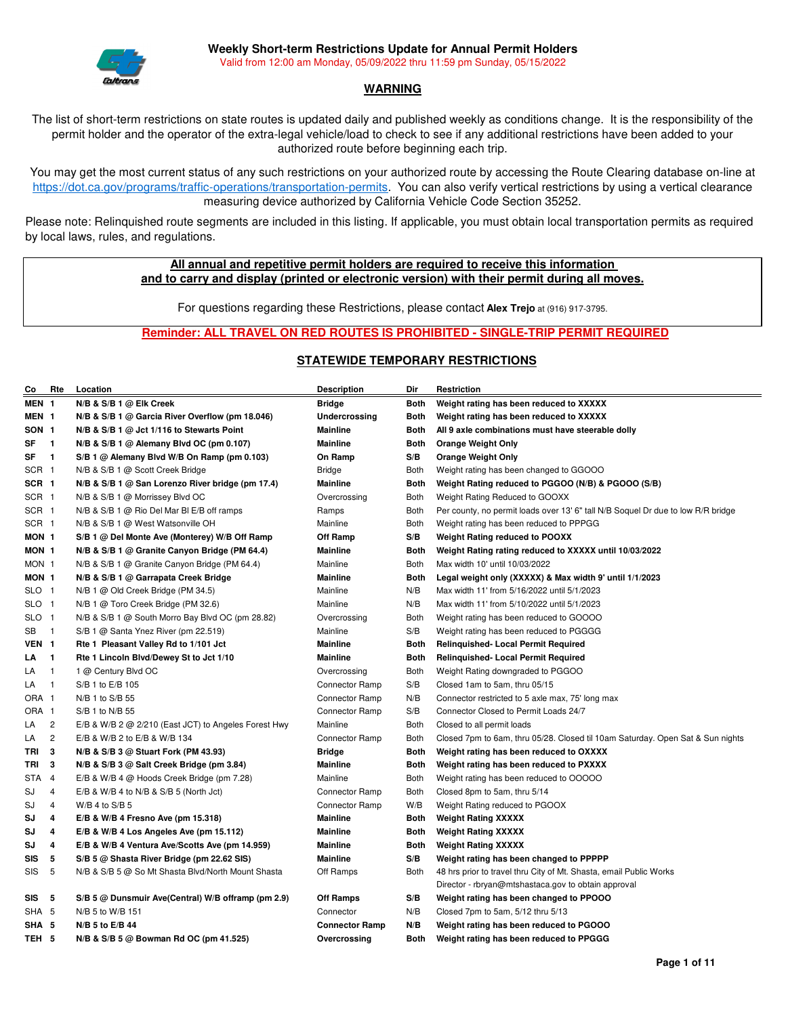

#### **WARNING**

 The list of short-term restrictions on state routes is updated daily and published weekly as conditions change. It is the responsibility of the permit holder and the operator of the extra-legal vehicle/load to check to see if any additional restrictions have been added to your authorized route before beginning each trip.

 You may get the most current status of any such restrictions on your authorized route by accessing the Route Clearing database on-line at <https://dot.ca.gov/programs/traffic-operations/transportation-permits>. You can also verify vertical restrictions by using a vertical clearance measuring device authorized by California Vehicle Code Section 35252.

 Please note: Relinquished route segments are included in this listing. If applicable, you must obtain local transportation permits as required by local laws, rules, and regulations.

#### **All annual and repetitive permit holders are required to receive this information and to carry and display (printed or electronic version) with their permit during all moves.**

For questions regarding these Restrictions, please contact **Alex Trejo** at (916) 917-3795.

#### **Reminder: ALL TRAVEL ON RED ROUTES IS PROHIBITED - SINGLE-TRIP PERMIT REQUIRED**

#### **STATEWIDE TEMPORARY RESTRICTIONS**

| Co               | Rte            | Location                                             | <b>Description</b>    | Dir         | <b>Restriction</b>                                                               |
|------------------|----------------|------------------------------------------------------|-----------------------|-------------|----------------------------------------------------------------------------------|
| MEN 1            |                | N/B & S/B 1 @ Elk Creek                              | <b>Bridge</b>         | <b>Both</b> | Weight rating has been reduced to XXXXX                                          |
| MEN <sub>1</sub> |                | $N/B$ & S/B 1 $@$ Garcia River Overflow (pm 18.046)  | Undercrossing         | <b>Both</b> | Weight rating has been reduced to XXXXX                                          |
| SON 1            |                | N/B & S/B 1 @ Jct 1/116 to Stewarts Point            | <b>Mainline</b>       | Both        | All 9 axle combinations must have steerable dolly                                |
| SF               | $\blacksquare$ | N/B & S/B 1 $@$ Alemany Blvd OC (pm 0.107)           | <b>Mainline</b>       | Both        | <b>Orange Weight Only</b>                                                        |
| SF               | $\blacksquare$ | S/B 1 @ Alemany Blvd W/B On Ramp (pm 0.103)          | On Ramp               | S/B         | <b>Orange Weight Only</b>                                                        |
| SCR <sub>1</sub> |                | N/B & S/B 1 @ Scott Creek Bridge                     | Bridge                | Both        | Weight rating has been changed to GGOOO                                          |
| SCR <sub>1</sub> |                | N/B & S/B 1 @ San Lorenzo River bridge (pm 17.4)     | <b>Mainline</b>       | Both        | Weight Rating reduced to PGGOO (N/B) & PGOOO (S/B)                               |
| SCR <sub>1</sub> |                | N/B & S/B 1 @ Morrissey Blvd OC                      | Overcrossing          | <b>Both</b> | Weight Rating Reduced to GOOXX                                                   |
| SCR <sub>1</sub> |                | N/B & S/B 1 @ Rio Del Mar BI E/B off ramps           | Ramps                 | <b>Both</b> | Per county, no permit loads over 13' 6" tall N/B Soquel Dr due to low R/R bridge |
| SCR <sub>1</sub> |                | N/B & S/B 1 @ West Watsonville OH                    | Mainline              | Both        | Weight rating has been reduced to PPPGG                                          |
| MON <sub>1</sub> |                | S/B 1 @ Del Monte Ave (Monterey) W/B Off Ramp        | Off Ramp              | S/B         | <b>Weight Rating reduced to POOXX</b>                                            |
| MON <sub>1</sub> |                | N/B & S/B 1 @ Granite Canyon Bridge (PM 64.4)        | <b>Mainline</b>       | <b>Both</b> | Weight Rating rating reduced to XXXXX until 10/03/2022                           |
| MON 1            |                | N/B & S/B 1 @ Granite Canyon Bridge (PM 64.4)        | Mainline              | <b>Both</b> | Max width 10' until 10/03/2022                                                   |
| MON <sub>1</sub> |                | N/B & S/B 1 @ Garrapata Creek Bridge                 | Mainline              | Both        | Legal weight only (XXXXX) & Max width 9' until 1/1/2023                          |
| SLO 1            |                | $N/B$ 1 @ Old Creek Bridge (PM 34.5)                 | Mainline              | N/B         | Max width 11' from 5/16/2022 until 5/1/2023                                      |
| SLO <sub>1</sub> |                | N/B 1 @ Toro Creek Bridge (PM 32.6)                  | Mainline              | N/B         | Max width 11' from 5/10/2022 until 5/1/2023                                      |
| SLO <sub>1</sub> |                | N/B & S/B 1 @ South Morro Bay Blvd OC (pm 28.82)     | Overcrossing          | <b>Both</b> | Weight rating has been reduced to GOOOO                                          |
| SB <sub>1</sub>  |                | S/B 1 @ Santa Ynez River (pm 22.519)                 | Mainline              | S/B         | Weight rating has been reduced to PGGGG                                          |
| VEN 1            |                | Rte 1 Pleasant Valley Rd to 1/101 Jct                | <b>Mainline</b>       | Both        | <b>Relinquished-Local Permit Required</b>                                        |
| LA               | $\blacksquare$ | Rte 1 Lincoln Blvd/Dewey St to Jct 1/10              | <b>Mainline</b>       | Both        | Relinquished- Local Permit Required                                              |
| LA               | $\overline{1}$ | 1 @ Century Blvd OC                                  | Overcrossing          | <b>Both</b> | Weight Rating downgraded to PGGOO                                                |
| LA               | $\overline{1}$ | S/B 1 to E/B 105                                     | Connector Ramp        | S/B         | Closed 1am to 5am, thru 05/15                                                    |
| ORA 1            |                | N/B 1 to S/B 55                                      | Connector Ramp        | N/B         | Connector restricted to 5 axle max, 75' long max                                 |
| ORA 1            |                | S/B 1 to N/B 55                                      | Connector Ramp        | S/B         | Connector Closed to Permit Loads 24/7                                            |
| LA               | $\overline{c}$ | E/B & W/B 2 @ 2/210 (East JCT) to Angeles Forest Hwy | Mainline              | Both        | Closed to all permit loads                                                       |
| LA               | $\overline{c}$ | E/B & W/B 2 to E/B & W/B 134                         | Connector Ramp        | Both        | Closed 7pm to 6am, thru 05/28. Closed til 10am Saturday. Open Sat & Sun nights   |
| TRI              | 3              | N/B & S/B 3 @ Stuart Fork (PM 43.93)                 | Bridge                | Both        | Weight rating has been reduced to OXXXX                                          |
| TRI              | 3              | $N/B$ & S/B 3 $@$ Salt Creek Bridge (pm 3.84)        | <b>Mainline</b>       | Both        | Weight rating has been reduced to PXXXX                                          |
| STA 4            |                | E/B & W/B 4 @ Hoods Creek Bridge (pm 7.28)           | Mainline              | Both        | Weight rating has been reduced to OOOOO                                          |
| SJ               | 4              | $E/B$ & W/B 4 to N/B & S/B 5 (North Jct)             | Connector Ramp        | Both        | Closed 8pm to 5am, thru 5/14                                                     |
| SJ               | 4              | $W/B$ 4 to $S/B$ 5                                   | Connector Ramp        | W/B         | Weight Rating reduced to PGOOX                                                   |
| SJ               | 4              | E/B & W/B 4 Fresno Ave (pm 15.318)                   | <b>Mainline</b>       | <b>Both</b> | <b>Weight Rating XXXXX</b>                                                       |
| SJ               | 4              | E/B & W/B 4 Los Angeles Ave (pm 15.112)              | <b>Mainline</b>       | Both        | <b>Weight Rating XXXXX</b>                                                       |
| SJ               | 4              | E/B & W/B 4 Ventura Ave/Scotts Ave (pm 14.959)       | <b>Mainline</b>       | Both        | <b>Weight Rating XXXXX</b>                                                       |
| SIS              | 5              | $S/B$ 5 $@$ Shasta River Bridge (pm 22.62 SIS)       | <b>Mainline</b>       | S/B         | Weight rating has been changed to PPPPP                                          |
| SIS              | 5              | N/B & S/B 5 @ So Mt Shasta Blvd/North Mount Shasta   | Off Ramps             | <b>Both</b> | 48 hrs prior to travel thru City of Mt. Shasta, email Public Works               |
|                  |                |                                                      |                       |             | Director - rbryan@mtshastaca.gov to obtain approval                              |
| SIS <sub>5</sub> |                | S/B 5 @ Dunsmuir Ave(Central) W/B offramp (pm 2.9)   | <b>Off Ramps</b>      | S/B         | Weight rating has been changed to PPOOO                                          |
| SHA 5            |                | N/B 5 to W/B 151                                     | Connector             | N/B         | Closed 7pm to 5am, 5/12 thru 5/13                                                |
| SHA 5            |                | $N/B$ 5 to E/B 44                                    | <b>Connector Ramp</b> | N/B         | Weight rating has been reduced to PGOOO                                          |
| TEH 5            |                | N/B & S/B 5 @ Bowman Rd OC (pm 41.525)               | Overcrossing          | Both        | Weight rating has been reduced to PPGGG                                          |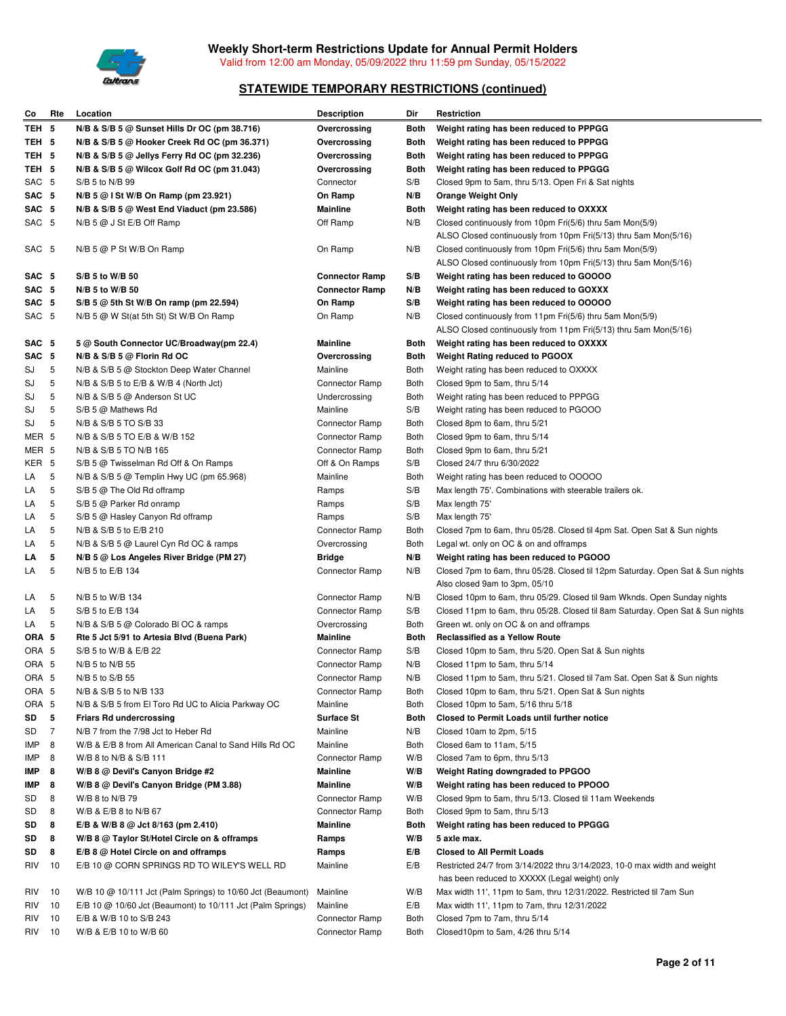

| Co         | Rte            | Location                                                     | <b>Description</b>    | Dir         | Restriction                                                                    |
|------------|----------------|--------------------------------------------------------------|-----------------------|-------------|--------------------------------------------------------------------------------|
| TEH 5      |                | N/B & S/B 5 @ Sunset Hills Dr OC (pm 38.716)                 | Overcrossing          | <b>Both</b> | Weight rating has been reduced to PPPGG                                        |
| TEH 5      |                | N/B & S/B 5 @ Hooker Creek Rd OC (pm 36.371)                 | Overcrossing          | Both        | Weight rating has been reduced to PPPGG                                        |
| TEH 5      |                | N/B & S/B 5 @ Jellys Ferry Rd OC (pm 32.236)                 | Overcrossing          | Both        | Weight rating has been reduced to PPPGG                                        |
| TEH 5      |                | N/B & S/B 5 @ Wilcox Golf Rd OC (pm 31.043)                  | Overcrossing          | Both        | Weight rating has been reduced to PPGGG                                        |
| SAC 5      |                | S/B 5 to N/B 99                                              | Connector             | S/B         | Closed 9pm to 5am, thru 5/13. Open Fri & Sat nights                            |
| SAC 5      |                | N/B 5 @ I St W/B On Ramp (pm 23.921)                         | On Ramp               | N/B         | <b>Orange Weight Only</b>                                                      |
| SAC 5      |                | N/B & S/B 5 @ West End Viaduct (pm 23.586)                   | <b>Mainline</b>       | <b>Both</b> | Weight rating has been reduced to OXXXX                                        |
| SAC 5      |                | N/B 5 @ J St E/B Off Ramp                                    | Off Ramp              | N/B         | Closed continuously from 10pm Fri(5/6) thru 5am Mon(5/9)                       |
|            |                |                                                              |                       |             | ALSO Closed continuously from 10pm Fri(5/13) thru 5am Mon(5/16)                |
| SAC 5      |                | N/B 5 @ P St W/B On Ramp                                     | On Ramp               | N/B         | Closed continuously from 10pm Fri(5/6) thru 5am Mon(5/9)                       |
|            |                |                                                              |                       |             | ALSO Closed continuously from 10pm Fri(5/13) thru 5am Mon(5/16)                |
| SAC 5      |                | S/B 5 to W/B 50                                              | <b>Connector Ramp</b> | S/B         | Weight rating has been reduced to GOOOO                                        |
| SAC 5      |                | N/B 5 to W/B 50                                              | <b>Connector Ramp</b> | N/B         | Weight rating has been reduced to GOXXX                                        |
| SAC 5      |                |                                                              |                       | S/B         |                                                                                |
|            |                | S/B 5 @ 5th St W/B On ramp (pm 22.594)                       | On Ramp               |             | Weight rating has been reduced to OOOOO                                        |
| SAC 5      |                | N/B 5 @ W St(at 5th St) St W/B On Ramp                       | On Ramp               | N/B         | Closed continuously from 11pm Fri(5/6) thru 5am Mon(5/9)                       |
|            |                |                                                              |                       |             | ALSO Closed continuously from 11pm Fri(5/13) thru 5am Mon(5/16)                |
| SAC 5      |                | 5 @ South Connector UC/Broadway(pm 22.4)                     | <b>Mainline</b>       | Both        | Weight rating has been reduced to OXXXX                                        |
| SAC 5      |                | $N/B$ & $S/B$ 5 $@$ Florin Rd OC                             | Overcrossing          | Both        | <b>Weight Rating reduced to PGOOX</b>                                          |
| SJ         | 5              | N/B & S/B 5 @ Stockton Deep Water Channel                    | Mainline              | Both        | Weight rating has been reduced to OXXXX                                        |
| SJ         | 5              | N/B & S/B 5 to E/B & W/B 4 (North Jct)                       | Connector Ramp        | Both        | Closed 9pm to 5am, thru 5/14                                                   |
| SJ         | 5              | N/B & S/B 5 @ Anderson St UC                                 | Undercrossing         | Both        | Weight rating has been reduced to PPPGG                                        |
| SJ         | 5              | S/B 5 @ Mathews Rd                                           | Mainline              | S/B         | Weight rating has been reduced to PGOOO                                        |
| SJ         | 5              | N/B & S/B 5 TO S/B 33                                        | <b>Connector Ramp</b> | Both        | Closed 8pm to 6am, thru 5/21                                                   |
| MER 5      |                | N/B & S/B 5 TO E/B & W/B 152                                 | Connector Ramp        | Both        | Closed 9pm to 6am, thru 5/14                                                   |
| MER 5      |                | N/B & S/B 5 TO N/B 165                                       | <b>Connector Ramp</b> | Both        | Closed 9pm to 6am, thru 5/21                                                   |
| KER        | 5              | S/B 5 @ Twisselman Rd Off & On Ramps                         | Off & On Ramps        | S/B         | Closed 24/7 thru 6/30/2022                                                     |
| LA         | 5              | N/B & S/B 5 @ Templin Hwy UC (pm 65.968)                     | Mainline              | Both        | Weight rating has been reduced to OOOOO                                        |
| LA         | 5              | S/B 5 @ The Old Rd offramp                                   | Ramps                 | S/B         | Max length 75'. Combinations with steerable trailers ok.                       |
| LA         | 5              | S/B 5 @ Parker Rd onramp                                     | Ramps                 | S/B         | Max length 75'                                                                 |
| LA         | 5              | S/B 5 @ Hasley Canyon Rd offramp                             | Ramps                 | S/B         | Max length 75'                                                                 |
| LA         | 5              | N/B & S/B 5 to E/B 210                                       | Connector Ramp        | <b>Both</b> | Closed 7pm to 6am, thru 05/28. Closed til 4pm Sat. Open Sat & Sun nights       |
| LA         | 5              | N/B & S/B 5 @ Laurel Cyn Rd OC & ramps                       | Overcrossing          | <b>Both</b> | Legal wt. only on OC & on and offramps                                         |
| LA         | 5              | N/B 5 @ Los Angeles River Bridge (PM 27)                     | <b>Bridge</b>         | N/B         | Weight rating has been reduced to PGOOO                                        |
| LA         | 5              | N/B 5 to E/B 134                                             | Connector Ramp        | N/B         | Closed 7pm to 6am, thru 05/28. Closed til 12pm Saturday. Open Sat & Sun nights |
|            |                |                                                              |                       |             | Also closed 9am to 3pm, 05/10                                                  |
| LA         | 5              | N/B 5 to W/B 134                                             | Connector Ramp        | N/B         | Closed 10pm to 6am, thru 05/29. Closed til 9am Wknds. Open Sunday nights       |
| LA         | 5              | S/B 5 to E/B 134                                             | Connector Ramp        | S/B         | Closed 11pm to 6am, thru 05/28. Closed til 8am Saturday. Open Sat & Sun nights |
| LA         | 5              | N/B & S/B 5 @ Colorado BI OC & ramps                         | Overcrossing          | Both        | Green wt. only on OC & on and offramps                                         |
| ORA 5      |                | Rte 5 Jct 5/91 to Artesia Blvd (Buena Park)                  | <b>Mainline</b>       | Both        | <b>Reclassified as a Yellow Route</b>                                          |
| ORA 5      |                | S/B 5 to W/B & E/B 22                                        | Connector Ramp        | S/B         | Closed 10pm to 5am, thru 5/20. Open Sat & Sun nights                           |
| ORA 5      |                | N/B 5 to N/B 55                                              | Connector Ramp        | N/B         | Closed 11pm to 5am, thru 5/14                                                  |
| ORA 5      |                | N/B 5 to S/B 55                                              | Connector Ramp        | N/B         | Closed 11pm to 5am, thru 5/21. Closed til 7am Sat. Open Sat & Sun nights       |
| ORA 5      |                | N/B & S/B 5 to N/B 133                                       | Connector Ramp        | Both        | Closed 10pm to 6am, thru 5/21. Open Sat & Sun nights                           |
|            |                |                                                              | Mainline              |             |                                                                                |
| ORA 5      |                | N/B & S/B 5 from El Toro Rd UC to Alicia Parkway OC          |                       | Both        | Closed 10pm to 5am, 5/16 thru 5/18                                             |
| SD         | 5              | <b>Friars Rd undercrossing</b>                               | <b>Surface St</b>     | <b>Both</b> | Closed to Permit Loads until further notice                                    |
| SD         | $\overline{7}$ | N/B 7 from the 7/98 Jct to Heber Rd                          | Mainline              | N/B         | Closed 10am to 2pm, 5/15                                                       |
| IMP        | 8              | W/B & E/B 8 from All American Canal to Sand Hills Rd OC      | Mainline              | Both        | Closed 6am to 11am, 5/15                                                       |
| IMP        | 8              | W/B 8 to N/B & S/B 111                                       | Connector Ramp        | W/B         | Closed 7am to 6pm, thru 5/13                                                   |
| IMP        | 8              | W/B 8 @ Devil's Canyon Bridge #2                             | <b>Mainline</b>       | W/B         | Weight Rating downgraded to PPGOO                                              |
| IMP        | 8              | W/B 8 @ Devil's Canyon Bridge (PM 3.88)                      | <b>Mainline</b>       | W/B         | Weight rating has been reduced to PPOOO                                        |
| SD         | 8              | W/B 8 to N/B 79                                              | Connector Ramp        | W/B         | Closed 9pm to 5am, thru 5/13. Closed til 11am Weekends                         |
| SD         | 8              | W/B & E/B 8 to N/B 67                                        | Connector Ramp        | Both        | Closed 9pm to 5am, thru 5/13                                                   |
| SD         | 8              | E/B & W/B 8 $@$ Jct 8/163 (pm 2.410)                         | <b>Mainline</b>       | <b>Both</b> | Weight rating has been reduced to PPGGG                                        |
| SD         | 8              | W/B 8 @ Taylor St/Hotel Circle on & offramps                 | Ramps                 | W/B         | 5 axle max.                                                                    |
| SD         | 8              | $E/B$ 8 $@$ Hotel Circle on and offramps                     | Ramps                 | E/B         | <b>Closed to All Permit Loads</b>                                              |
| <b>RIV</b> | 10             | E/B 10 @ CORN SPRINGS RD TO WILEY'S WELL RD                  | Mainline              | E/B         | Restricted 24/7 from 3/14/2022 thru 3/14/2023, 10-0 max width and weight       |
|            |                |                                                              |                       |             | has been reduced to XXXXX (Legal weight) only                                  |
| <b>RIV</b> | 10             | $W/B$ 10 @ 10/111 Jct (Palm Springs) to 10/60 Jct (Beaumont) | Mainline              | W/B         | Max width 11', 11pm to 5am, thru 12/31/2022. Restricted til 7am Sun            |
| <b>RIV</b> | 10             | E/B 10 $@$ 10/60 Jct (Beaumont) to 10/111 Jct (Palm Springs) | Mainline              | E/B         | Max width 11', 11pm to 7am, thru 12/31/2022                                    |
| <b>RIV</b> | 10             | E/B & W/B 10 to S/B 243                                      | Connector Ramp        | Both        | Closed 7pm to 7am, thru 5/14                                                   |
| <b>RIV</b> | 10             | W/B & E/B 10 to W/B 60                                       | Connector Ramp        | Both        | Closed10pm to 5am, 4/26 thru 5/14                                              |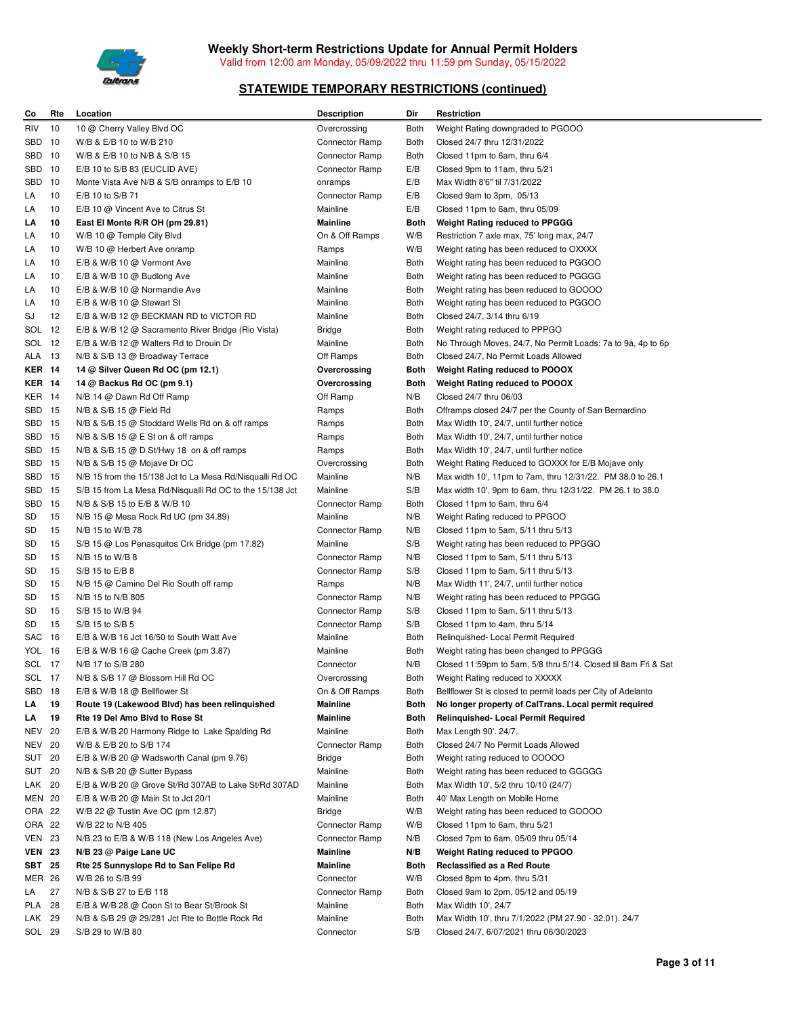

| Co            | Rte  | Location                                                                | <b>Description</b>                | Dir         | Restriction                                                    |
|---------------|------|-------------------------------------------------------------------------|-----------------------------------|-------------|----------------------------------------------------------------|
| RIV           | 10   | 10 @ Cherry Valley Blvd OC                                              | Overcrossing                      | <b>Both</b> | Weight Rating downgraded to PGOOO                              |
| SBD 10        |      | W/B & E/B 10 to W/B 210                                                 | Connector Ramp                    | Both        | Closed 24/7 thru 12/31/2022                                    |
| SBD           | 10   | W/B & E/B 10 to N/B & S/B 15                                            | Connector Ramp                    | Both        | Closed 11pm to 6am, thru 6/4                                   |
| SBD           | 10   | E/B 10 to S/B 83 (EUCLID AVE)                                           | Connector Ramp                    | E/B         | Closed 9pm to 11am, thru 5/21                                  |
| SBD           | 10   | Monte Vista Ave N/B & S/B onramps to E/B 10                             | onramps                           | E/B         | Max Width 8'6" til 7/31/2022                                   |
| LA            | 10   | E/B 10 to S/B 71                                                        | Connector Ramp                    | E/B         | Closed 9am to 3pm, 05/13                                       |
| LA            | 10   | E/B 10 @ Vincent Ave to Citrus St                                       | Mainline                          | E/B         | Closed 11pm to 6am, thru 05/09                                 |
| LA            | 10   | East El Monte R/R OH (pm 29.81)                                         | <b>Mainline</b>                   | <b>Both</b> | <b>Weight Rating reduced to PPGGG</b>                          |
| LA            | 10   | W/B 10 @ Temple City Blvd                                               | On & Off Ramps                    | W/B         | Restriction 7 axle max, 75' long max, 24/7                     |
| LA            | 10   | W/B 10 @ Herbert Ave onramp                                             | Ramps                             | W/B         | Weight rating has been reduced to OXXXX                        |
| LA            | 10   | E/B & W/B 10 @ Vermont Ave                                              | Mainline                          | <b>Both</b> | Weight rating has been reduced to PGGOO                        |
| LA            | 10   | $E/B$ & W/B 10 $@$ Budlong Ave                                          | Mainline                          | <b>Both</b> | Weight rating has been reduced to PGGGG                        |
| LA            | 10   | E/B & W/B 10 @ Normandie Ave                                            | Mainline                          | Both        | Weight rating has been reduced to GOOOO                        |
| LA            | 10   | E/B & W/B 10 $@$ Stewart St                                             | Mainline                          | Both        | Weight rating has been reduced to PGGOO                        |
| SJ            | 12   | E/B & W/B 12 @ BECKMAN RD to VICTOR RD                                  | Mainline                          | Both        | Closed 24/7, 3/14 thru 6/19                                    |
| SOL 12        |      | E/B & W/B 12 @ Sacramento River Bridge (Rio Vista)                      | <b>Bridge</b>                     | Both        | Weight rating reduced to PPPGO                                 |
| SOL 12        |      | E/B & W/B 12 @ Walters Rd to Drouin Dr                                  | Mainline                          | Both        | No Through Moves, 24/7, No Permit Loads: 7a to 9a, 4p to 6p    |
| ALA           | - 13 | N/B & S/B 13 @ Broadway Terrace                                         | Off Ramps                         | Both        | Closed 24/7, No Permit Loads Allowed                           |
| <b>KER 14</b> |      | 14 @ Silver Queen Rd OC (pm 12.1)                                       | Overcrossing                      | Both        | <b>Weight Rating reduced to POOOX</b>                          |
| <b>KER 14</b> |      | 14 @ Backus Rd OC (pm 9.1)                                              | Overcrossing                      | Both        | Weight Rating reduced to POOOX                                 |
| KER 14        |      | N/B 14 @ Dawn Rd Off Ramp                                               | Off Ramp                          | N/B         | Closed 24/7 thru 06/03                                         |
| SBD 15        |      | N/B & S/B 15 @ Field Rd                                                 | Ramps                             | Both        | Offramps closed 24/7 per the County of San Bernardino          |
| SBD 15        |      | N/B & S/B 15 @ Stoddard Wells Rd on & off ramps                         | Ramps                             | <b>Both</b> | Max Width 10', 24/7, until further notice                      |
| SBD 15        |      | N/B & S/B 15 $@$ E St on & off ramps                                    | Ramps                             | <b>Both</b> | Max Width 10', 24/7, until further notice                      |
| SBD 15        |      | N/B & S/B 15 @ D St/Hwy 18 on & off ramps                               | Ramps                             | Both        | Max Width 10', 24/7, until further notice                      |
| SBD 15        |      | N/B & S/B 15 @ Mojave Dr OC                                             | Overcrossing                      | <b>Both</b> | Weight Rating Reduced to GOXXX for E/B Mojave only             |
| SBD 15        |      | N/B 15 from the 15/138 Jct to La Mesa Rd/Nisqualli Rd OC                | Mainline                          | N/B         | Max width 10', 11pm to 7am, thru 12/31/22. PM 38.0 to 26.1     |
| SBD 15        |      | S/B 15 from La Mesa Rd/Nisqualli Rd OC to the 15/138 Jct                | Mainline                          | S/B         | Max width 10', 9pm to 6am, thru 12/31/22. PM 26.1 to 38.0      |
| SBD 15        |      | N/B & S/B 15 to E/B & W/B 10                                            | Connector Ramp                    | <b>Both</b> | Closed 11pm to 6am, thru 6/4                                   |
| SD            | 15   | $N/B$ 15 $@$ Mesa Rock Rd UC (pm 34.89)                                 | Mainline                          | N/B         | Weight Rating reduced to PPGOO                                 |
| SD            | 15   | N/B 15 to W/B 78                                                        | Connector Ramp                    | N/B         | Closed 11pm to 5am, $5/11$ thru $5/13$                         |
| SD            | 15   | S/B 15 @ Los Penasquitos Crk Bridge (pm 17.82)                          | Mainline                          | S/B         | Weight rating has been reduced to PPGGO                        |
| SD            | 15   | N/B 15 to W/B 8                                                         | Connector Ramp                    | N/B         | Closed 11pm to 5am, 5/11 thru 5/13                             |
| SD            | 15   | S/B 15 to E/B 8                                                         | Connector Ramp                    | S/B         | Closed 11pm to 5am, 5/11 thru 5/13                             |
| SD            | 15   | N/B 15 @ Camino Del Rio South off ramp                                  | Ramps                             | N/B         | Max Width 11', 24/7, until further notice                      |
| SD            | 15   | N/B 15 to N/B 805                                                       | Connector Ramp                    | N/B         | Weight rating has been reduced to PPGGG                        |
| SD            | 15   | S/B 15 to W/B 94                                                        | Connector Ramp                    | S/B         | Closed 11pm to 5am, 5/11 thru 5/13                             |
| SD            | 15   | S/B 15 to S/B 5                                                         | Connector Ramp                    | S/B         | Closed 11pm to 4am, thru 5/14                                  |
| SAC 16        |      | E/B & W/B 16 Jct 16/50 to South Watt Ave                                | Mainline                          | Both        | Relinquished-Local Permit Required                             |
| YOL 16        |      | E/B & W/B 16 $@$ Cache Creek (pm 3.87)                                  | Mainline                          | Both        | Weight rating has been changed to PPGGG                        |
| SCL 17        |      | N/B 17 to S/B 280                                                       | Connector                         | N/B         | Closed 11:59pm to 5am, 5/8 thru 5/14. Closed til 8am Fri & Sat |
| SCL 17        |      | N/B & S/B 17 @ Blossom Hill Rd OC                                       | Overcrossing                      | Both        | Weight Rating reduced to XXXXX                                 |
| SBD 18        |      | E/B & W/B 18 @ Bellflower St                                            | On & Off Ramps                    | Both        | Bellflower St is closed to permit loads per City of Adelanto   |
| LA            | 19   | Route 19 (Lakewood Blvd) has been relinquished                          | <b>Mainline</b>                   | Both        | No longer property of CalTrans. Local permit required          |
| LA            | 19   | Rte 19 Del Amo Blvd to Rose St                                          | <b>Mainline</b>                   | Both        | Relinquished- Local Permit Required                            |
| NEV           | 20   | E/B & W/B 20 Harmony Ridge to Lake Spalding Rd                          | Mainline                          | Both        | Max Length 90'. 24/7.                                          |
| NEV           | 20   | W/B & E/B 20 to S/B 174                                                 | Connector Ramp                    | Both        | Closed 24/7 No Permit Loads Allowed                            |
| SUT           | 20   | E/B & W/B 20 $@$ Wadsworth Canal (pm 9.76)                              | Bridge                            | Both        | Weight rating reduced to OOOOO                                 |
| SUT           | 20   | N/B & S/B 20 @ Sutter Bypass                                            | Mainline                          | Both        | Weight rating has been reduced to GGGGG                        |
| LAK 20        |      | E/B & W/B 20 @ Grove St/Rd 307AB to Lake St/Rd 307AD                    | Mainline                          | Both        | Max Width 10', 5/2 thru 10/10 (24/7)                           |
| <b>MEN 20</b> |      | E/B & W/B 20 @ Main St to Jct 20/1                                      | Mainline                          | Both        | 40' Max Length on Mobile Home                                  |
| ORA 22        |      | W/B 22 @ Tustin Ave OC (pm 12.87)                                       | <b>Bridge</b>                     | W/B         | Weight rating has been reduced to GOOOO                        |
| ORA 22        |      | W/B 22 to N/B 405                                                       | Connector Ramp                    | W/B         | Closed 11pm to 6am, thru 5/21                                  |
| <b>VEN 23</b> |      | N/B 23 to E/B & W/B 118 (New Los Angeles Ave)                           | Connector Ramp                    | N/B         | Closed 7pm to 6am, 05/09 thru 05/14                            |
| <b>VEN 23</b> |      | N/B 23 @ Paige Lane UC                                                  | <b>Mainline</b>                   | N/B         | Weight Rating reduced to PPGOO                                 |
| SBT 25        |      | Rte 25 Sunnyslope Rd to San Felipe Rd                                   | Mainline                          | Both        | <b>Reclassified as a Red Route</b>                             |
|               |      |                                                                         |                                   | W/B         |                                                                |
| <b>MER 26</b> | 27   | W/B 26 to S/B 99<br>N/B & S/B 27 to E/B 118                             | Connector                         | Both        | Closed 8pm to 4pm, thru 5/31                                   |
| LA            | 28   |                                                                         | <b>Connector Ramp</b><br>Mainline | Both        | Closed 9am to 2pm, 05/12 and 05/19<br>Max Width 10', 24/7      |
| PLA<br>LAK 29 |      | E/B & W/B 28 @ Coon St to Bear St/Brook St                              | Mainline                          | Both        | Max Width 10', thru 7/1/2022 (PM 27.90 - 32.01). 24/7          |
| SOL 29        |      | $N/B$ & S/B 29 $@$ 29/281 Jct Rte to Bottle Rock Rd<br>S/B 29 to W/B 80 |                                   | S/B         |                                                                |
|               |      |                                                                         | Connector                         |             | Closed 24/7, 6/07/2021 thru 06/30/2023                         |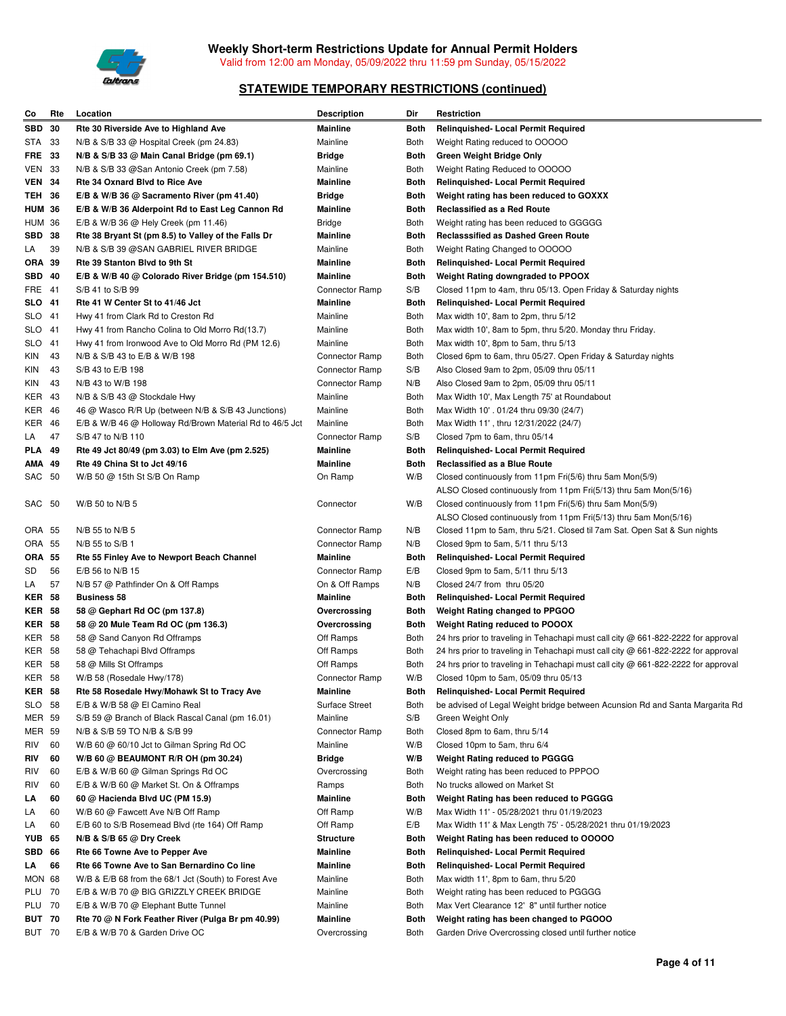

| Сo            | Rte | Location                                                 | <b>Description</b>    | Dir         | Restriction                                                                       |
|---------------|-----|----------------------------------------------------------|-----------------------|-------------|-----------------------------------------------------------------------------------|
| <b>SBD 30</b> |     | Rte 30 Riverside Ave to Highland Ave                     | Mainline              | Both        | <b>Relinquished-Local Permit Required</b>                                         |
| STA           | 33  | N/B & S/B 33 @ Hospital Creek (pm 24.83)                 | Mainline              | Both        | Weight Rating reduced to OOOOO                                                    |
| <b>FRE 33</b> |     | N/B & S/B 33 @ Main Canal Bridge (pm 69.1)               | Bridge                | Both        | Green Weight Bridge Only                                                          |
| <b>VEN 33</b> |     | N/B & S/B 33 @San Antonio Creek (pm 7.58)                | Mainline              | Both        | Weight Rating Reduced to OOOOO                                                    |
| <b>VEN 34</b> |     | <b>Rte 34 Oxnard Blvd to Rice Ave</b>                    | Mainline              | <b>Both</b> | <b>Relinquished- Local Permit Required</b>                                        |
| TEH 36        |     | E/B & W/B 36 $@$ Sacramento River (pm 41.40)             | <b>Bridge</b>         | Both        | Weight rating has been reduced to GOXXX                                           |
| <b>HUM 36</b> |     | E/B & W/B 36 Alderpoint Rd to East Leg Cannon Rd         | Mainline              | Both        | <b>Reclassified as a Red Route</b>                                                |
| <b>HUM 36</b> |     | E/B & W/B 36 @ Hely Creek (pm 11.46)                     | Bridge                | Both        | Weight rating has been reduced to GGGGG                                           |
| <b>SBD 38</b> |     | Rte 38 Bryant St (pm 8.5) to Valley of the Falls Dr      | <b>Mainline</b>       | <b>Both</b> | <b>Reclasssified as Dashed Green Route</b>                                        |
| LA            | 39  | N/B & S/B 39 @SAN GABRIEL RIVER BRIDGE                   | Mainline              | Both        | Weight Rating Changed to OOOOO                                                    |
| <b>ORA 39</b> |     | Rte 39 Stanton Blvd to 9th St                            | <b>Mainline</b>       | Both        | Relinquished- Local Permit Required                                               |
| SBD 40        |     | E/B & W/B 40 @ Colorado River Bridge (pm 154.510)        | <b>Mainline</b>       | <b>Both</b> | Weight Rating downgraded to PPOOX                                                 |
| FRE 41        |     | S/B 41 to S/B 99                                         | <b>Connector Ramp</b> | S/B         | Closed 11pm to 4am, thru 05/13. Open Friday & Saturday nights                     |
| SLO 41        |     | Rte 41 W Center St to 41/46 Jct                          | <b>Mainline</b>       | <b>Both</b> | <b>Relinquished-Local Permit Required</b>                                         |
| SLO 41        |     | Hwy 41 from Clark Rd to Creston Rd                       | Mainline              | Both        | Max width 10', 8am to 2pm, thru 5/12                                              |
| SLO 41        |     | Hwy 41 from Rancho Colina to Old Morro Rd(13.7)          | Mainline              | Both        | Max width 10', 8am to 5pm, thru 5/20. Monday thru Friday.                         |
| SLO 41        |     | Hwy 41 from Ironwood Ave to Old Morro Rd (PM 12.6)       | Mainline              | Both        | Max width 10', 8pm to 5am, thru 5/13                                              |
| KIN           | 43  | N/B & S/B 43 to E/B & W/B 198                            | <b>Connector Ramp</b> | <b>Both</b> | Closed 6pm to 6am, thru 05/27. Open Friday & Saturday nights                      |
| KIN           | 43  | S/B 43 to E/B 198                                        | Connector Ramp        | S/B         | Also Closed 9am to 2pm, 05/09 thru 05/11                                          |
| KIN           | 43  | N/B 43 to W/B 198                                        | Connector Ramp        | N/B         | Also Closed 9am to 2pm, 05/09 thru 05/11                                          |
| KER 43        |     | N/B & S/B 43 @ Stockdale Hwy                             | Mainline              | Both        | Max Width 10', Max Length 75' at Roundabout                                       |
| KER 46        |     | 46 @ Wasco R/R Up (between N/B & S/B 43 Junctions)       | Mainline              | Both        | Max Width 10' . 01/24 thru 09/30 (24/7)                                           |
| KER           | 46  | E/B & W/B 46 @ Holloway Rd/Brown Material Rd to 46/5 Jct | Mainline              | <b>Both</b> | Max Width 11', thru 12/31/2022 (24/7)                                             |
| LA            | 47  | S/B 47 to N/B 110                                        | <b>Connector Ramp</b> | S/B         | Closed 7pm to 6am, thru 05/14                                                     |
| <b>PLA 49</b> |     | Rte 49 Jct 80/49 (pm 3.03) to Elm Ave (pm 2.525)         | Mainline              | Both        | Relinquished- Local Permit Required                                               |
| AMA 49        |     | Rte 49 China St to Jct 49/16                             | Mainline              | Both        | <b>Reclassified as a Blue Route</b>                                               |
| SAC 50        |     | W/B 50 $@$ 15th St S/B On Ramp                           | On Ramp               | W/B         | Closed continuously from 11pm Fri(5/6) thru 5am Mon(5/9)                          |
|               |     |                                                          |                       |             | ALSO Closed continuously from 11pm Fri(5/13) thru 5am Mon(5/16)                   |
| SAC 50        |     | W/B 50 to N/B 5                                          | Connector             | W/B         | Closed continuously from 11pm Fri(5/6) thru 5am Mon(5/9)                          |
|               |     |                                                          |                       |             | ALSO Closed continuously from 11pm Fri(5/13) thru 5am Mon(5/16)                   |
| ORA 55        |     | $N/B$ 55 to $N/B$ 5                                      | Connector Ramp        | N/B         | Closed 11pm to 5am, thru 5/21. Closed til 7am Sat. Open Sat & Sun nights          |
| ORA 55        |     | N/B 55 to S/B 1                                          | Connector Ramp        | N/B         | Closed 9pm to 5am, 5/11 thru 5/13                                                 |
| <b>ORA 55</b> |     | Rte 55 Finley Ave to Newport Beach Channel               | Mainline              | Both        | Relinquished- Local Permit Required                                               |
| SD            | 56  | E/B 56 to N/B 15                                         | Connector Ramp        | E/B         | Closed 9pm to 5am, 5/11 thru 5/13                                                 |
| LA            | 57  | N/B 57 @ Pathfinder On & Off Ramps                       | On & Off Ramps        | N/B         | Closed 24/7 from thru 05/20                                                       |
| <b>KER 58</b> |     | Business 58                                              | Mainline              | <b>Both</b> | Relinquished- Local Permit Required                                               |
| <b>KER 58</b> |     | 58 @ Gephart Rd OC (pm 137.8)                            | Overcrossing          | Both        | Weight Rating changed to PPGOO                                                    |
| <b>KER 58</b> |     | 58 @ 20 Mule Team Rd OC (pm 136.3)                       | Overcrossing          | Both        | <b>Weight Rating reduced to POOOX</b>                                             |
| <b>KER 58</b> |     | 58 @ Sand Canyon Rd Offramps                             | Off Ramps             | Both        | 24 hrs prior to traveling in Tehachapi must call city @ 661-822-2222 for approval |
| <b>KER 58</b> |     | 58 @ Tehachapi Blvd Offramps                             | Off Ramps             | Both        | 24 hrs prior to traveling in Tehachapi must call city @ 661-822-2222 for approval |
| <b>KER 58</b> |     | 58 @ Mills St Offramps                                   | Off Ramps             | Both        | 24 hrs prior to traveling in Tehachapi must call city @ 661-822-2222 for approval |
| <b>KER 58</b> |     | W/B 58 (Rosedale Hwy/178)                                | <b>Connector Ramp</b> | W/B         | Closed 10pm to 5am, 05/09 thru 05/13                                              |
| <b>KER 58</b> |     | Rte 58 Rosedale Hwy/Mohawk St to Tracy Ave               | <b>Mainline</b>       | <b>Both</b> | <b>Relinquished-Local Permit Required</b>                                         |
| SLO           | 58  | E/B & W/B 58 @ El Camino Real                            | <b>Surface Street</b> | Both        | be advised of Legal Weight bridge between Acunsion Rd and Santa Margarita Rd      |
| <b>MER 59</b> |     | S/B 59 @ Branch of Black Rascal Canal (pm 16.01)         | Mainline              | S/B         | Green Weight Only                                                                 |
| MER           | -59 | N/B & S/B 59 TO N/B & S/B 99                             | Connector Ramp        | <b>Both</b> | Closed 8pm to 6am, thru 5/14                                                      |
| <b>RIV</b>    | 60  | W/B 60 @ 60/10 Jct to Gilman Spring Rd OC                | Mainline              | W/B         | Closed 10pm to 5am, thru 6/4                                                      |
| RIV           | 60  | W/B 60 @ BEAUMONT R/R OH (pm 30.24)                      | <b>Bridge</b>         | W/B         | Weight Rating reduced to PGGGG                                                    |
| RIV           | 60  | E/B & W/B 60 @ Gilman Springs Rd OC                      | Overcrossing          | Both        | Weight rating has been reduced to PPPOO                                           |
| RIV           | 60  | E/B & W/B 60 @ Market St. On & Offramps                  | Ramps                 | Both        | No trucks allowed on Market St                                                    |
| LA            | 60  | 60 @ Hacienda Blvd UC (PM 15.9)                          | <b>Mainline</b>       | Both        | Weight Rating has been reduced to PGGGG                                           |
| LA            | 60  | W/B 60 @ Fawcett Ave N/B Off Ramp                        | Off Ramp              | W/B         | Max Width 11' - 05/28/2021 thru 01/19/2023                                        |
| LA            | 60  | E/B 60 to S/B Rosemead Blvd (rte 164) Off Ramp           | Off Ramp              | E/B         | Max Width 11' & Max Length 75' - 05/28/2021 thru 01/19/2023                       |
| YUB           | 65  | N/B & S/B 65 @ Dry Creek                                 | <b>Structure</b>      | Both        | Weight Rating has been reduced to OOOOO                                           |
| SBD           | 66  | Rte 66 Towne Ave to Pepper Ave                           | Mainline              | <b>Both</b> | <b>Relinquished- Local Permit Required</b>                                        |
| LA            | 66  | Rte 66 Towne Ave to San Bernardino Co line               | <b>Mainline</b>       | <b>Both</b> | Relinquished- Local Permit Required                                               |
| MON 68        |     | W/B & E/B 68 from the 68/1 Jct (South) to Forest Ave     | Mainline              | Both        | Max width 11', 8pm to 6am, thru 5/20                                              |
| PLU 70        |     | E/B & W/B 70 @ BIG GRIZZLY CREEK BRIDGE                  | Mainline              | Both        | Weight rating has been reduced to PGGGG                                           |
| PLU           | 70  | E/B & W/B 70 @ Elephant Butte Tunnel                     | Mainline              | Both        | Max Vert Clearance 12' 8" until further notice                                    |
| <b>BUT 70</b> |     | Rte 70 @ N Fork Feather River (Pulga Br pm 40.99)        | <b>Mainline</b>       | <b>Both</b> | Weight rating has been changed to PGOOO                                           |
| <b>BUT 70</b> |     | E/B & W/B 70 & Garden Drive OC                           | Overcrossing          | Both        | Garden Drive Overcrossing closed until further notice                             |
|               |     |                                                          |                       |             |                                                                                   |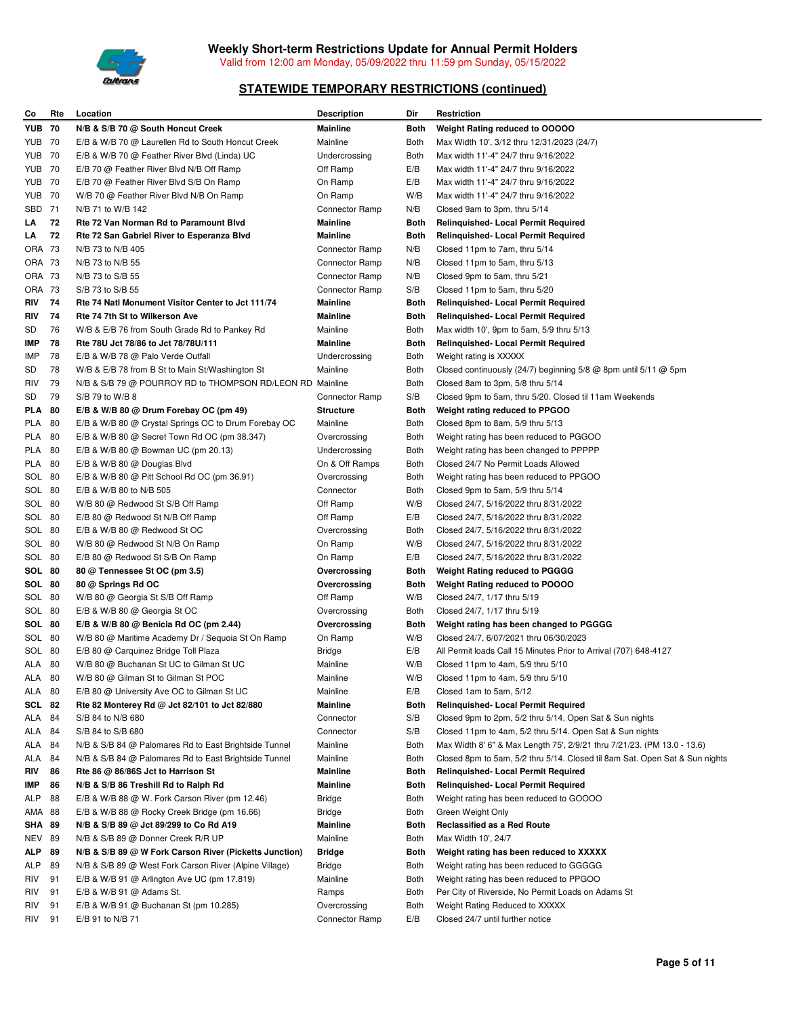

| Co            | Rte  | Location                                               | Description    | Dir         | Restriction                                                                 |
|---------------|------|--------------------------------------------------------|----------------|-------------|-----------------------------------------------------------------------------|
| <b>YUB 70</b> |      | N/B & S/B 70 @ South Honcut Creek                      | Mainline       | Both        | Weight Rating reduced to OOOOO                                              |
| <b>YUB 70</b> |      | E/B & W/B 70 @ Laurellen Rd to South Honcut Creek      | Mainline       | Both        | Max Width 10', 3/12 thru 12/31/2023 (24/7)                                  |
| <b>YUB 70</b> |      | E/B & W/B 70 @ Feather River Blvd (Linda) UC           | Undercrossing  | Both        | Max width 11'-4" 24/7 thru 9/16/2022                                        |
| YUB           | - 70 | E/B 70 @ Feather River Blvd N/B Off Ramp               | Off Ramp       | E/B         | Max width 11'-4" 24/7 thru 9/16/2022                                        |
| <b>YUB 70</b> |      | E/B 70 @ Feather River Blvd S/B On Ramp                | On Ramp        | E/B         | Max width 11'-4" 24/7 thru 9/16/2022                                        |
| <b>YUB 70</b> |      | W/B 70 @ Feather River Blvd N/B On Ramp                | On Ramp        | W/B         | Max width 11'-4" 24/7 thru 9/16/2022                                        |
| SBD           | 71   | N/B 71 to W/B 142                                      | Connector Ramp | N/B         | Closed 9am to 3pm, thru 5/14                                                |
| LA            | 72   | Rte 72 Van Norman Rd to Paramount Blvd                 | Mainline       | Both        | Relinquished- Local Permit Required                                         |
| LA            | 72   | Rte 72 San Gabriel River to Esperanza Blvd             | Mainline       | <b>Both</b> | Relinquished- Local Permit Required                                         |
| ORA 73        |      | N/B 73 to N/B 405                                      | Connector Ramp | N/B         | Closed 11pm to 7am, thru 5/14                                               |
| ORA 73        |      | N/B 73 to N/B 55                                       | Connector Ramp | N/B         | Closed 11pm to 5am, thru 5/13                                               |
| ORA 73        |      | N/B 73 to S/B 55                                       | Connector Ramp | N/B         | Closed 9pm to 5am, thru 5/21                                                |
| ORA 73        |      | S/B 73 to S/B 55                                       | Connector Ramp | S/B         | Closed 11pm to 5am, thru 5/20                                               |
| RIV           | 74   | Rte 74 Natl Monument Visitor Center to Jct 111/74      | Mainline       | Both        | Relinquished- Local Permit Required                                         |
| RIV           | 74   | Rte 74 7th St to Wilkerson Ave                         | Mainline       | Both        | Relinquished- Local Permit Required                                         |
| SD            | 76   | W/B & E/B 76 from South Grade Rd to Pankey Rd          | Mainline       | Both        | Max width 10', 9pm to 5am, 5/9 thru 5/13                                    |
| IMP           | 78   | Rte 78U Jct 78/86 to Jct 78/78U/111                    | Mainline       | Both        | Relinquished- Local Permit Required                                         |
| IMP           | 78   | E/B & W/B 78 @ Palo Verde Outfall                      | Undercrossing  | Both        |                                                                             |
|               | 78   |                                                        |                |             | Weight rating is XXXXX                                                      |
| SD            |      | W/B & E/B 78 from B St to Main St/Washington St        | Mainline       | Both        | Closed continuously (24/7) beginning $5/8$ @ 8pm until $5/11$ @ 5pm         |
| <b>RIV</b>    | 79   | N/B & S/B 79 @ POURROY RD to THOMPSON RD/LEON RD       | Mainline       | Both        | Closed 8am to 3pm, 5/8 thru 5/14                                            |
| SD            | 79   | S/B 79 to W/B 8                                        | Connector Ramp | S/B         | Closed 9pm to 5am, thru 5/20. Closed til 11am Weekends                      |
| PLA           | 80   | E/B & W/B 80 $@$ Drum Forebay OC (pm 49)               | Structure      | Both        | Weight rating reduced to PPGOO                                              |
| <b>PLA</b>    | 80   | E/B & W/B 80 @ Crystal Springs OC to Drum Forebay OC   | Mainline       | Both        | Closed 8pm to 8am, 5/9 thru 5/13                                            |
| PLA           | 80   | E/B & W/B 80 @ Secret Town Rd OC (pm 38.347)           | Overcrossing   | Both        | Weight rating has been reduced to PGGOO                                     |
| PLA           | 80   | E/B & W/B 80 @ Bowman UC (pm 20.13)                    | Undercrossing  | Both        | Weight rating has been changed to PPPPP                                     |
| PLA           | 80   | E/B & W/B 80 @ Douglas Blvd                            | On & Off Ramps | Both        | Closed 24/7 No Permit Loads Allowed                                         |
| SOL 80        |      | E/B & W/B 80 @ Pitt School Rd OC (pm 36.91)            | Overcrossing   | Both        | Weight rating has been reduced to PPGOO                                     |
| SOL 80        |      | E/B & W/B 80 to N/B 505                                | Connector      | Both        | Closed 9pm to 5am, 5/9 thru 5/14                                            |
| SOL 80        |      | W/B 80 @ Redwood St S/B Off Ramp                       | Off Ramp       | W/B         | Closed 24/7, 5/16/2022 thru 8/31/2022                                       |
| SOL 80        |      | E/B 80 @ Redwood St N/B Off Ramp                       | Off Ramp       | E/B         | Closed 24/7, 5/16/2022 thru 8/31/2022                                       |
| SOL 80        |      | E/B & W/B 80 @ Redwood St OC                           | Overcrossing   | Both        | Closed 24/7, 5/16/2022 thru 8/31/2022                                       |
| SOL 80        |      | W/B 80 @ Redwood St N/B On Ramp                        | On Ramp        | W/B         | Closed 24/7, 5/16/2022 thru 8/31/2022                                       |
| SOL 80        |      | E/B 80 @ Redwood St S/B On Ramp                        | On Ramp        | E/B         | Closed 24/7, 5/16/2022 thru 8/31/2022                                       |
| SOL 80        |      | 80 @ Tennessee St OC (pm 3.5)                          | Overcrossing   | Both        | <b>Weight Rating reduced to PGGGG</b>                                       |
| SOL 80        |      | 80 @ Springs Rd OC                                     | Overcrossing   | Both        | Weight Rating reduced to POOOO                                              |
| SOL 80        |      | W/B 80 @ Georgia St S/B Off Ramp                       | Off Ramp       | W/B         | Closed 24/7, 1/17 thru 5/19                                                 |
| SOL 80        |      | E/B & W/B 80 @ Georgia St OC                           | Overcrossing   | Both        | Closed 24/7, 1/17 thru 5/19                                                 |
| SOL 80        |      | E/B & W/B 80 @ Benicia Rd OC (pm 2.44)                 | Overcrossing   | Both        | Weight rating has been changed to PGGGG                                     |
| SOL 80        |      | W/B 80 @ Maritime Academy Dr / Sequoia St On Ramp      | On Ramp        | W/B         | Closed 24/7, 6/07/2021 thru 06/30/2023                                      |
| SOL 80        |      | E/B 80 @ Carquinez Bridge Toll Plaza                   | Bridge         | E/B         | All Permit loads Call 15 Minutes Prior to Arrival (707) 648-4127            |
| ALA 80        |      | W/B 80 @ Buchanan St UC to Gilman St UC                | Mainline       | W/B         | Closed 11pm to 4am, 5/9 thru 5/10                                           |
| ALA 80        |      | W/B 80 @ Gilman St to Gilman St POC                    | Mainline       | W/B         | Closed 11pm to 4am, 5/9 thru 5/10                                           |
| ALA 80        |      | E/B 80 @ University Ave OC to Gilman St UC             | Mainline       | E/B         | Closed 1am to 5am, 5/12                                                     |
| SCL 82        |      | Rte 82 Monterey Rd @ Jct 82/101 to Jct 82/880          | Mainline       | Both        | Relinquished- Local Permit Required                                         |
| ALA 84        |      | S/B 84 to N/B 680                                      | Connector      | S/B         | Closed 9pm to 2pm, 5/2 thru 5/14. Open Sat & Sun nights                     |
| ALA           | 84   | S/B 84 to S/B 680                                      | Connector      | S/B         | Closed 11pm to 4am, 5/2 thru 5/14. Open Sat & Sun nights                    |
| ALA 84        |      | N/B & S/B 84 @ Palomares Rd to East Brightside Tunnel  | Mainline       | Both        | Max Width 8' 6" & Max Length 75', 2/9/21 thru 7/21/23. (PM 13.0 - 13.6)     |
| ALA           | 84   | N/B & S/B 84 @ Palomares Rd to East Brightside Tunnel  | Mainline       | Both        | Closed 8pm to 5am, 5/2 thru 5/14. Closed til 8am Sat. Open Sat & Sun nights |
| RIV           | 86   | Rte 86 @ 86/86S Jct to Harrison St                     | Mainline       | <b>Both</b> | <b>Relinquished- Local Permit Required</b>                                  |
| IMP           | 86   | N/B & S/B 86 Treshill Rd to Ralph Rd                   | Mainline       | Both        | Relinquished- Local Permit Required                                         |
| ALP           | 88   | E/B & W/B 88 $\omega$ W. Fork Carson River (pm 12.46)  | Bridge         | Both        | Weight rating has been reduced to GOOOO                                     |
| AMA 88        |      | E/B & W/B 88 @ Rocky Creek Bridge (pm 16.66)           | Bridge         | Both        | Green Weight Only                                                           |
| <b>SHA 89</b> |      | N/B & S/B 89 @ Jct 89/299 to Co Rd A19                 | Mainline       | Both        | <b>Reclassified as a Red Route</b>                                          |
| <b>NEV 89</b> |      | N/B & S/B 89 @ Donner Creek R/R UP                     | Mainline       | Both        | Max Width 10', 24/7                                                         |
| ALP           | 89   | N/B & S/B 89 @ W Fork Carson River (Picketts Junction) | Bridge         | Both        | Weight rating has been reduced to XXXXX                                     |
| ALP           | 89   | N/B & S/B 89 @ West Fork Carson River (Alpine Village) | Bridge         | Both        | Weight rating has been reduced to GGGGG                                     |
| RIV           | 91   | E/B & W/B 91 @ Arlington Ave UC (pm 17.819)            | Mainline       | Both        | Weight rating has been reduced to PPGOO                                     |
| RIV           | 91   | E/B & W/B 91 @ Adams St.                               | Ramps          | Both        | Per City of Riverside, No Permit Loads on Adams St                          |
| RIV           | 91   | E/B & W/B 91 @ Buchanan St (pm 10.285)                 | Overcrossing   | Both        | Weight Rating Reduced to XXXXX                                              |
| RIV           | 91   | E/B 91 to N/B 71                                       | Connector Ramp | E/B         | Closed 24/7 until further notice                                            |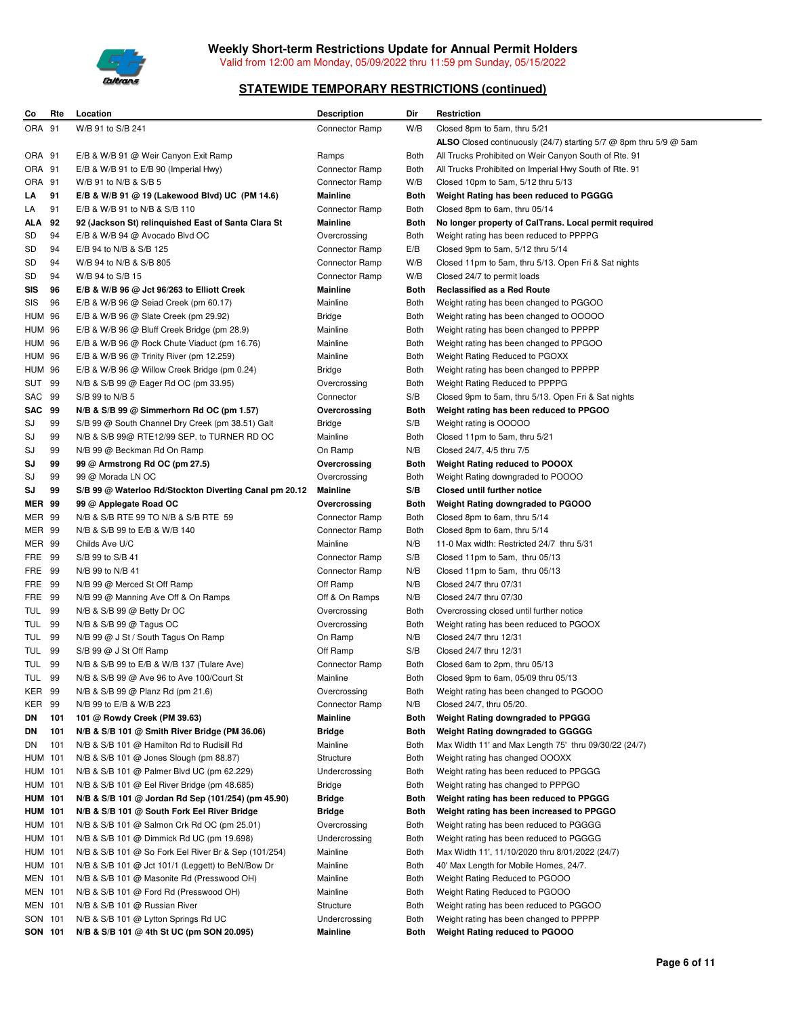

 **Weekly Short-term Restrictions Update for Annual Permit Holders**  Valid from 12:00 am Monday, 05/09/2022 thru 11:59 pm Sunday, 05/15/2022

| Co             | Rte | Location                                                                      | <b>Description</b>    | Dir         | Restriction                                                       |
|----------------|-----|-------------------------------------------------------------------------------|-----------------------|-------------|-------------------------------------------------------------------|
| ORA 91         |     | W/B 91 to S/B 241                                                             | Connector Ramp        | W/B         | Closed 8pm to 5am, thru 5/21                                      |
|                |     |                                                                               |                       |             | ALSO Closed continuously (24/7) starting 5/7 @ 8pm thru 5/9 @ 5am |
| ORA 91         |     | E/B & W/B 91 @ Weir Canyon Exit Ramp                                          | Ramps                 | Both        | All Trucks Prohibited on Weir Canyon South of Rte. 91             |
| ORA 91         |     | $E/B$ & W/B 91 to $E/B$ 90 (Imperial Hwy)                                     | <b>Connector Ramp</b> | Both        | All Trucks Prohibited on Imperial Hwy South of Rte. 91            |
| ORA 91         |     | W/B 91 to N/B & S/B 5                                                         | <b>Connector Ramp</b> | W/B         | Closed 10pm to 5am, 5/12 thru 5/13                                |
| LA             | 91  | E/B & W/B 91 @ 19 (Lakewood Blvd) UC (PM 14.6)                                | <b>Mainline</b>       | Both        | Weight Rating has been reduced to PGGGG                           |
| LA             | 91  | E/B & W/B 91 to N/B & S/B 110                                                 | <b>Connector Ramp</b> | <b>Both</b> | Closed 8pm to 6am, thru 05/14                                     |
| <b>ALA</b>     | 92  | 92 (Jackson St) relinquished East of Santa Clara St                           | <b>Mainline</b>       | <b>Both</b> | No longer property of CalTrans. Local permit required             |
| SD             | 94  | E/B & W/B 94 @ Avocado Blvd OC                                                | Overcrossing          | <b>Both</b> |                                                                   |
|                |     |                                                                               |                       |             | Weight rating has been reduced to PPPPG                           |
| SD             | 94  | E/B 94 to N/B & S/B 125                                                       | <b>Connector Ramp</b> | E/B         | Closed 9pm to 5am, 5/12 thru 5/14                                 |
| SD             | 94  | W/B 94 to N/B & S/B 805                                                       | <b>Connector Ramp</b> | W/B         | Closed 11pm to 5am, thru 5/13. Open Fri & Sat nights              |
| SD             | 94  | W/B 94 to S/B 15                                                              | <b>Connector Ramp</b> | W/B         | Closed 24/7 to permit loads                                       |
| SIS            | 96  | E/B & W/B 96 @ Jct 96/263 to Elliott Creek                                    | <b>Mainline</b>       | <b>Both</b> | <b>Reclassified as a Red Route</b>                                |
| SIS            | 96  | E/B & W/B 96 @ Seiad Creek (pm 60.17)                                         | Mainline              | Both        | Weight rating has been changed to PGGOO                           |
| <b>HUM 96</b>  |     | E/B & W/B 96 @ Slate Creek (pm 29.92)                                         | <b>Bridge</b>         | Both        | Weight rating has been changed to OOOOO                           |
| <b>HUM 96</b>  |     | E/B & W/B 96 @ Bluff Creek Bridge (pm 28.9)                                   | Mainline              | Both        | Weight rating has been changed to PPPPP                           |
| <b>HUM 96</b>  |     | E/B & W/B 96 @ Rock Chute Viaduct (pm 16.76)                                  | Mainline              | Both        | Weight rating has been changed to PPGOO                           |
| <b>HUM 96</b>  |     | E/B & W/B 96 @ Trinity River (pm 12.259)                                      | Mainline              | Both        | Weight Rating Reduced to PGOXX                                    |
| <b>HUM 96</b>  |     | E/B & W/B 96 @ Willow Creek Bridge (pm 0.24)                                  | <b>Bridge</b>         | Both        | Weight rating has been changed to PPPPP                           |
| SUT 99         |     | N/B & S/B 99 @ Eager Rd OC (pm 33.95)                                         | Overcrossing          | Both        | Weight Rating Reduced to PPPPG                                    |
| SAC 99         |     | S/B 99 to N/B 5                                                               | Connector             | S/B         | Closed 9pm to 5am, thru 5/13. Open Fri & Sat nights               |
| <b>SAC</b>     | 99  | N/B & S/B 99 @ Simmerhorn Rd OC (pm 1.57)                                     | Overcrossing          | <b>Both</b> | Weight rating has been reduced to PPGOO                           |
| SJ             | 99  | S/B 99 @ South Channel Dry Creek (pm 38.51) Galt                              | <b>Bridge</b>         | S/B         | Weight rating is OOOOO                                            |
| SJ             | 99  | N/B & S/B 99@ RTE12/99 SEP. to TURNER RD OC                                   | Mainline              | Both        | Closed 11pm to 5am, thru 5/21                                     |
| SJ             | 99  | N/B 99 @ Beckman Rd On Ramp                                                   | On Ramp               | N/B         | Closed 24/7, 4/5 thru 7/5                                         |
| SJ             | 99  | 99 @ Armstrong Rd OC (pm 27.5)                                                | Overcrossing          | <b>Both</b> | <b>Weight Rating reduced to POOOX</b>                             |
| SJ             | 99  | 99 @ Morada LN OC                                                             | Overcrossing          | Both        | Weight Rating downgraded to POOOO                                 |
| SJ             | 99  | S/B 99 @ Waterloo Rd/Stockton Diverting Canal pm 20.12                        | <b>Mainline</b>       | S/B         | <b>Closed until further notice</b>                                |
| <b>MER 99</b>  |     | 99 @ Applegate Road OC                                                        | Overcrossing          | <b>Both</b> | Weight Rating downgraded to PGOOO                                 |
| <b>MER 99</b>  |     | N/B & S/B RTE 99 TO N/B & S/B RTE 59                                          | Connector Ramp        | Both        | Closed 8pm to 6am, thru 5/14                                      |
| <b>MER 99</b>  |     | N/B & S/B 99 to E/B & W/B 140                                                 | Connector Ramp        | Both        | Closed 8pm to 6am, thru 5/14                                      |
| <b>MER 99</b>  |     | Childs Ave U/C                                                                | Mainline              | N/B         | 11-0 Max width: Restricted 24/7 thru 5/31                         |
| <b>FRE</b> 99  |     | S/B 99 to S/B 41                                                              | Connector Ramp        | S/B         | Closed 11pm to 5am, thru 05/13                                    |
| FRE 99         |     | N/B 99 to N/B 41                                                              | Connector Ramp        | N/B         | Closed 11pm to 5am, thru 05/13                                    |
| FRE 99         |     | N/B 99 @ Merced St Off Ramp                                                   | Off Ramp              | N/B         | Closed 24/7 thru 07/31                                            |
| <b>FRE</b> 99  |     | N/B 99 @ Manning Ave Off & On Ramps                                           | Off & On Ramps        | N/B         | Closed 24/7 thru 07/30                                            |
| TUL            | 99  | N/B & S/B 99 @ Betty Dr OC                                                    | Overcrossing          | <b>Both</b> | Overcrossing closed until further notice                          |
| TUL            | 99  | N/B & S/B 99 @ Tagus OC                                                       | Overcrossing          | Both        | Weight rating has been reduced to PGOOX                           |
| TUL            | 99  | N/B 99 @ J St / South Tagus On Ramp                                           | On Ramp               | N/B         | Closed 24/7 thru 12/31                                            |
| <b>TUL 99</b>  |     | S/B 99 @ J St Off Ramp                                                        | Off Ramp              | S/B         | Closed 24/7 thru 12/31                                            |
| TUL            | 99  | N/B & S/B 99 to E/B & W/B 137 (Tulare Ave)                                    | Connector Ramp        | Both        | Closed 6am to 2pm, thru 05/13                                     |
| <b>TUL 99</b>  |     | N/B & S/B 99 @ Ave 96 to Ave 100/Court St                                     | Mainline              | Both        | Closed 9pm to 6am, 05/09 thru 05/13                               |
| KER 99         |     | N/B & S/B 99 @ Planz Rd (pm 21.6)                                             | Overcrossing          | Both        | Weight rating has been changed to PGOOO                           |
| <b>KER 99</b>  |     | N/B 99 to E/B & W/B 223                                                       | <b>Connector Ramp</b> | N/B         | Closed 24/7, thru 05/20.                                          |
| DN             | 101 |                                                                               | Mainline              | <b>Both</b> | Weight Rating downgraded to PPGGG                                 |
|                | 101 | 101 @ Rowdy Creek (PM 39.63)<br>N/B & S/B 101 @ Smith River Bridge (PM 36.06) |                       |             |                                                                   |
| DN             |     |                                                                               | <b>Bridge</b>         | Both        | Weight Rating downgraded to GGGGG                                 |
| DN             | 101 | N/B & S/B 101 @ Hamilton Rd to Rudisill Rd                                    | Mainline              | Both        | Max Width 11' and Max Length 75' thru 09/30/22 (24/7)             |
| HUM 101        |     | $N/B$ & S/B 101 @ Jones Slough (pm 88.87)                                     | Structure             | Both        | Weight rating has changed OOOXX                                   |
| <b>HUM 101</b> |     | N/B & S/B 101 @ Palmer Blvd UC (pm 62.229)                                    | Undercrossing         | Both        | Weight rating has been reduced to PPGGG                           |
| <b>HUM 101</b> |     | N/B & S/B 101 @ Eel River Bridge (pm 48.685)                                  | <b>Bridge</b>         | Both        | Weight rating has changed to PPPGO                                |
| <b>HUM 101</b> |     | N/B & S/B 101 @ Jordan Rd Sep (101/254) (pm 45.90)                            | <b>Bridge</b>         | Both        | Weight rating has been reduced to PPGGG                           |
| <b>HUM 101</b> |     | N/B & S/B 101 @ South Fork Eel River Bridge                                   | <b>Bridge</b>         | Both        | Weight rating has been increased to PPGGO                         |
| <b>HUM 101</b> |     | N/B & S/B 101 @ Salmon Crk Rd OC (pm 25.01)                                   | Overcrossing          | Both        | Weight rating has been reduced to PGGGG                           |
| <b>HUM 101</b> |     | N/B & S/B 101 @ Dimmick Rd UC (pm 19.698)                                     | Undercrossing         | Both        | Weight rating has been reduced to PGGGG                           |
| HUM 101        |     | N/B & S/B 101 @ So Fork Eel River Br & Sep (101/254)                          | Mainline              | Both        | Max Width 11', 11/10/2020 thru 8/01/2022 (24/7)                   |
| <b>HUM 101</b> |     | N/B & S/B 101 @ Jct 101/1 (Leggett) to BeN/Bow Dr                             | Mainline              | Both        | 40' Max Length for Mobile Homes, 24/7.                            |
| <b>MEN 101</b> |     | N/B & S/B 101 @ Masonite Rd (Presswood OH)                                    | Mainline              | Both        | Weight Rating Reduced to PGOOO                                    |
| <b>MEN 101</b> |     | N/B & S/B 101 @ Ford Rd (Presswood OH)                                        | Mainline              | Both        | Weight Rating Reduced to PGOOO                                    |
| <b>MEN 101</b> |     | N/B & S/B 101 @ Russian River                                                 | Structure             | Both        | Weight rating has been reduced to PGGOO                           |
| SON 101        |     | N/B & S/B 101 @ Lytton Springs Rd UC                                          | Undercrossing         | <b>Both</b> | Weight rating has been changed to PPPPP                           |
| SON 101        |     | N/B & S/B 101 @ 4th St UC (pm SON 20.095)                                     | Mainline              | <b>Both</b> | Weight Rating reduced to PGOOO                                    |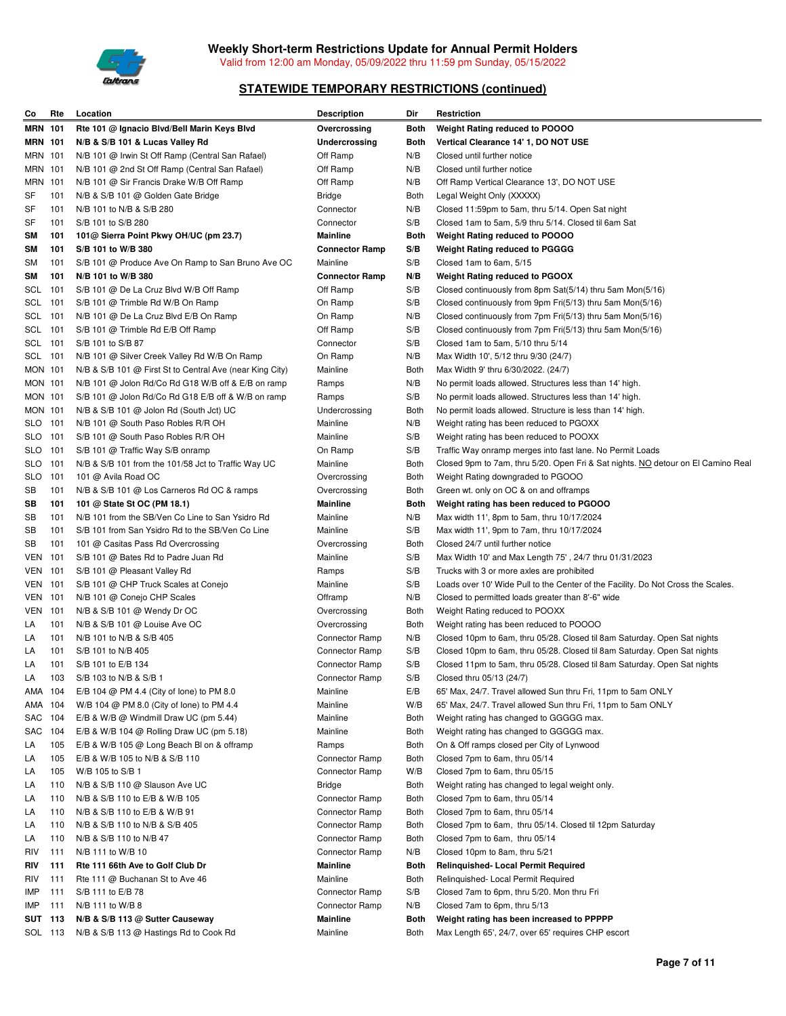

| Co                | Rte | Location                                                 | <b>Description</b>    | Dir  | Restriction                                                                      |
|-------------------|-----|----------------------------------------------------------|-----------------------|------|----------------------------------------------------------------------------------|
| <b>MRN 101</b>    |     | Rte 101 @ Ignacio Blvd/Bell Marin Keys Blvd              | Overcrossing          | Both | Weight Rating reduced to POOOO                                                   |
| MRN 101           |     | N/B & S/B 101 & Lucas Valley Rd                          | Undercrossing         | Both | Vertical Clearance 14' 1, DO NOT USE                                             |
| MRN 101           |     | N/B 101 @ Irwin St Off Ramp (Central San Rafael)         | Off Ramp              | N/B  | Closed until further notice                                                      |
| MRN 101           |     | N/B 101 @ 2nd St Off Ramp (Central San Rafael)           | Off Ramp              | N/B  | Closed until further notice                                                      |
| MRN 101           |     | N/B 101 @ Sir Francis Drake W/B Off Ramp                 | Off Ramp              | N/B  | Off Ramp Vertical Clearance 13', DO NOT USE                                      |
| SF                | 101 | N/B & S/B 101 @ Golden Gate Bridge                       | Bridge                | Both | Legal Weight Only (XXXXX)                                                        |
| SF                | 101 | N/B 101 to N/B & S/B 280                                 | Connector             | N/B  | Closed 11:59pm to 5am, thru 5/14. Open Sat night                                 |
| SF                | 101 | S/B 101 to S/B 280                                       | Connector             | S/B  | Closed 1am to 5am, 5/9 thru 5/14. Closed til 6am Sat                             |
| SM                | 101 | 101@ Sierra Point Pkwy OH/UC (pm 23.7)                   | Mainline              | Both | Weight Rating reduced to POOOO                                                   |
| SM                | 101 | S/B 101 to W/B 380                                       | <b>Connector Ramp</b> | S/B  | Weight Rating reduced to PGGGG                                                   |
| SМ                | 101 | S/B 101 @ Produce Ave On Ramp to San Bruno Ave OC        | Mainline              | S/B  | Closed 1am to 6am, 5/15                                                          |
| SM                | 101 | N/B 101 to W/B 380                                       | <b>Connector Ramp</b> | N/B  | <b>Weight Rating reduced to PGOOX</b>                                            |
| SCL               | 101 | S/B 101 @ De La Cruz Blvd W/B Off Ramp                   | Off Ramp              | S/B  | Closed continuously from 8pm Sat(5/14) thru 5am Mon(5/16)                        |
| SCL               | 101 | S/B 101 @ Trimble Rd W/B On Ramp                         | On Ramp               | S/B  | Closed continuously from 9pm Fri(5/13) thru 5am Mon(5/16)                        |
| SCL               | 101 | N/B 101 @ De La Cruz Blvd E/B On Ramp                    | On Ramp               | N/B  | Closed continuously from 7pm Fri(5/13) thru 5am Mon(5/16)                        |
| SCL               | 101 | S/B 101 @ Trimble Rd E/B Off Ramp                        | Off Ramp              | S/B  | Closed continuously from 7pm Fri(5/13) thru 5am Mon(5/16)                        |
| SCL 101           |     | S/B 101 to S/B 87                                        | Connector             | S/B  | Closed 1am to 5am, 5/10 thru 5/14                                                |
| SCL 101           |     | N/B 101 @ Silver Creek Valley Rd W/B On Ramp             | On Ramp               | N/B  | Max Width 10', 5/12 thru 9/30 (24/7)                                             |
| <b>MON 101</b>    |     | N/B & S/B 101 @ First St to Central Ave (near King City) | Mainline              | Both | Max Width 9' thru 6/30/2022. (24/7)                                              |
| MON 101           |     | N/B 101 @ Jolon Rd/Co Rd G18 W/B off & E/B on ramp       | Ramps                 | N/B  | No permit loads allowed. Structures less than 14' high.                          |
| MON 101           |     | S/B 101 @ Jolon Rd/Co Rd G18 E/B off & W/B on ramp       | Ramps                 | S/B  | No permit loads allowed. Structures less than 14' high.                          |
| MON 101           |     | N/B & S/B 101 @ Jolon Rd (South Jct) UC                  | Undercrossing         | Both | No permit loads allowed. Structure is less than 14' high.                        |
| SLO 101           |     | N/B 101 @ South Paso Robles R/R OH                       | Mainline              | N/B  | Weight rating has been reduced to PGOXX                                          |
| SLO 101           |     | S/B 101 @ South Paso Robles R/R OH                       | Mainline              | S/B  | Weight rating has been reduced to POOXX                                          |
| SLO 101           |     | S/B 101 @ Traffic Way S/B onramp                         | On Ramp               | S/B  | Traffic Way onramp merges into fast lane. No Permit Loads                        |
| SLO 101           |     | N/B & S/B 101 from the 101/58 Jct to Traffic Way UC      | Mainline              | Both | Closed 9pm to 7am, thru 5/20. Open Fri & Sat nights. NO detour on El Camino Real |
| SLO               | 101 | 101 @ Avila Road OC                                      | Overcrossing          | Both | Weight Rating downgraded to PGOOO                                                |
| SВ                | 101 | N/B & S/B 101 @ Los Carneros Rd OC & ramps               | Overcrossing          | Both | Green wt. only on OC & on and offramps                                           |
| SB                | 101 | 101 @ State St OC (PM 18.1)                              | <b>Mainline</b>       | Both | Weight rating has been reduced to PGOOO                                          |
| SВ                | 101 | N/B 101 from the SB/Ven Co Line to San Ysidro Rd         | Mainline              | N/B  | Max width 11', 8pm to 5am, thru 10/17/2024                                       |
| SВ                | 101 | S/B 101 from San Ysidro Rd to the SB/Ven Co Line         | Mainline              | S/B  | Max width 11', 9pm to 7am, thru 10/17/2024                                       |
| SВ                | 101 | 101 @ Casitas Pass Rd Overcrossing                       | Overcrossing          | Both | Closed 24/7 until further notice                                                 |
| VEN               | 101 | S/B 101 @ Bates Rd to Padre Juan Rd                      | Mainline              | S/B  | Max Width 10' and Max Length 75', 24/7 thru 01/31/2023                           |
| VEN               | 101 | S/B 101 @ Pleasant Valley Rd                             | Ramps                 | S/B  | Trucks with 3 or more axles are prohibited                                       |
| VEN               | 101 | S/B 101 @ CHP Truck Scales at Conejo                     | Mainline              | S/B  | Loads over 10' Wide Pull to the Center of the Facility. Do Not Cross the Scales. |
| <b>VEN 101</b>    |     | N/B 101 @ Conejo CHP Scales                              | Offramp               | N/B  | Closed to permitted loads greater than 8'-6" wide                                |
| VEN               | 101 | N/B & S/B 101 @ Wendy Dr OC                              | Overcrossing          | Both | Weight Rating reduced to POOXX                                                   |
| LA                | 101 | $N/B$ & S/B 101 @ Louise Ave OC                          | Overcrossing          | Both | Weight rating has been reduced to POOOO                                          |
| LA                | 101 | N/B 101 to N/B & S/B 405                                 | <b>Connector Ramp</b> | N/B  | Closed 10pm to 6am, thru 05/28. Closed til 8am Saturday. Open Sat nights         |
| LA                | 101 | S/B 101 to N/B 405                                       | Connector Ramp        | S/B  | Closed 10pm to 6am, thru 05/28. Closed til 8am Saturday. Open Sat nights         |
| LA                | 101 | S/B 101 to E/B 134                                       | Connector Ramp        | S/B  | Closed 11pm to 5am, thru 05/28. Closed til 8am Saturday. Open Sat nights         |
| LA                | 103 | S/B 103 to N/B & S/B 1                                   | <b>Connector Ramp</b> | S/B  | Closed thru 05/13 (24/7)                                                         |
| AMA 104           |     | E/B 104 @ PM 4.4 (City of lone) to PM 8.0                | Mainline              | E/B  | 65' Max, 24/7. Travel allowed Sun thru Fri, 11pm to 5am ONLY                     |
| AMA 104           |     | W/B 104 @ PM 8.0 (City of lone) to PM 4.4                | Mainline              | W/B  | 65' Max, 24/7. Travel allowed Sun thru Fri, 11pm to 5am ONLY                     |
| SAC               | 104 | E/B & W/B $@$ Windmill Draw UC (pm 5.44)                 | Mainline              | Both | Weight rating has changed to GGGGG max.                                          |
| SAC               | 104 | E/B & W/B 104 @ Rolling Draw UC (pm 5.18)                | Mainline              | Both | Weight rating has changed to GGGGG max.                                          |
| LA                | 105 | E/B & W/B 105 @ Long Beach BI on & offramp               | Ramps                 | Both | On & Off ramps closed per City of Lynwood                                        |
| LA                | 105 | E/B & W/B 105 to N/B & S/B 110                           | <b>Connector Ramp</b> | Both | Closed 7pm to 6am, thru 05/14                                                    |
| LA                | 105 | W/B 105 to S/B 1                                         | Connector Ramp        | W/B  | Closed 7pm to 6am, thru 05/15                                                    |
| LA                | 110 | N/B & S/B 110 @ Slauson Ave UC                           | <b>Bridge</b>         | Both | Weight rating has changed to legal weight only.                                  |
| LA                | 110 | N/B & S/B 110 to E/B & W/B 105                           | <b>Connector Ramp</b> | Both | Closed 7pm to 6am, thru 05/14                                                    |
| LA                | 110 | N/B & S/B 110 to E/B & W/B 91                            | Connector Ramp        | Both | Closed 7pm to 6am, thru 05/14                                                    |
| LA                | 110 | N/B & S/B 110 to N/B & S/B 405                           | Connector Ramp        | Both | Closed 7pm to 6am, thru 05/14. Closed til 12pm Saturday                          |
|                   | 110 | N/B & S/B 110 to N/B 47                                  | Connector Ramp        | Both | Closed 7pm to 6am, thru 05/14                                                    |
| LA                | 111 | N/B 111 to W/B 10                                        | Connector Ramp        | N/B  | Closed 10pm to 8am, thru 5/21                                                    |
| RIV<br>RIV        | 111 | Rte 111 66th Ave to Golf Club Dr                         | Mainline              | Both | <b>Relinquished-Local Permit Required</b>                                        |
|                   | 111 | Rte 111 @ Buchanan St to Ave 46                          | Mainline              | Both | Relinquished-Local Permit Required                                               |
| <b>RIV</b><br>IMP | 111 | S/B 111 to E/B 78                                        | <b>Connector Ramp</b> | S/B  | Closed 7am to 6pm, thru 5/20. Mon thru Fri                                       |
| IMP               | 111 | N/B 111 to W/B 8                                         | Connector Ramp        | N/B  | Closed 7am to 6pm, thru 5/13                                                     |
| SUT 113           |     | N/B & S/B 113 @ Sutter Causeway                          | Mainline              | Both | Weight rating has been increased to PPPPP                                        |
| SOL 113           |     | N/B & S/B 113 @ Hastings Rd to Cook Rd                   | Mainline              | Both | Max Length 65', 24/7, over 65' requires CHP escort                               |
|                   |     |                                                          |                       |      |                                                                                  |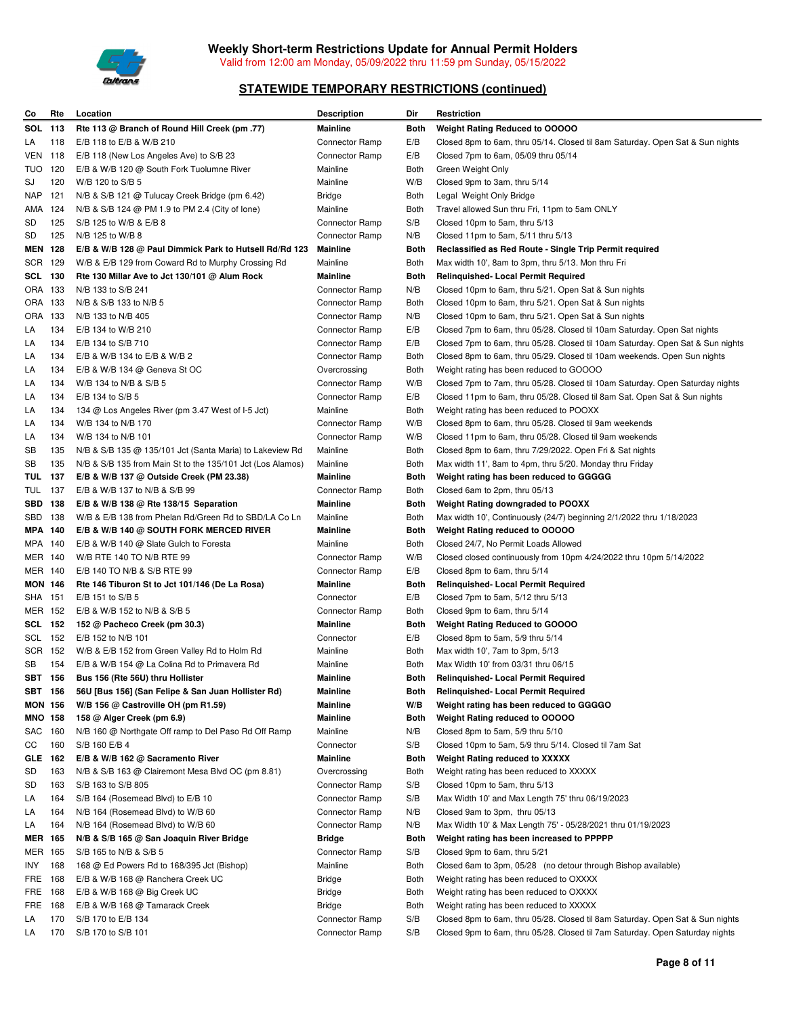

| Co             | Rte | Location                                                     | <b>Description</b>         | Dir          | Restriction                                                                    |
|----------------|-----|--------------------------------------------------------------|----------------------------|--------------|--------------------------------------------------------------------------------|
| SOL 113        |     | Rte 113 @ Branch of Round Hill Creek (pm .77)                | <b>Mainline</b>            | Both         | Weight Rating Reduced to OOOOO                                                 |
| LA             | 118 | E/B 118 to E/B & W/B 210                                     | Connector Ramp             | E/B          | Closed 8pm to 6am, thru 05/14. Closed til 8am Saturday. Open Sat & Sun nights  |
| VEN            | 118 | E/B 118 (New Los Angeles Ave) to S/B 23                      | Connector Ramp             | E/B          | Closed 7pm to 6am, 05/09 thru 05/14                                            |
| TUO.           | 120 | E/B & W/B 120 @ South Fork Tuolumne River                    | Mainline                   | Both         | Green Weight Only                                                              |
| SJ             | 120 | W/B 120 to S/B 5                                             | Mainline                   | W/B          | Closed 9pm to 3am, thru 5/14                                                   |
| <b>NAP</b>     | 121 | N/B & S/B 121 @ Tulucay Creek Bridge (pm 6.42)               | <b>Bridge</b>              | Both         | Legal Weight Only Bridge                                                       |
| AMA            | 124 | N/B & S/B 124 @ PM 1.9 to PM 2.4 (City of lone)              | Mainline                   | Both         | Travel allowed Sun thru Fri, 11pm to 5am ONLY                                  |
| SD             | 125 | S/B 125 to W/B & E/B 8                                       | Connector Ramp             | S/B          | Closed 10pm to 5am, thru 5/13                                                  |
| SD             | 125 | N/B 125 to W/B 8                                             | Connector Ramp             | N/B          | Closed 11pm to 5am, 5/11 thru 5/13                                             |
| <b>MEN 128</b> |     | E/B & W/B 128 @ Paul Dimmick Park to Hutsell Rd/Rd 123       | <b>Mainline</b>            | Both         | Reclassified as Red Route - Single Trip Permit required                        |
| SCR 129        |     | W/B & E/B 129 from Coward Rd to Murphy Crossing Rd           | Mainline                   | Both         | Max width 10', 8am to 3pm, thru 5/13. Mon thru Fri                             |
| <b>SCL 130</b> |     | Rte 130 Millar Ave to Jct 130/101 @ Alum Rock                | <b>Mainline</b>            | <b>Both</b>  | <b>Relinquished-Local Permit Required</b>                                      |
| ORA 133        |     | N/B 133 to S/B 241                                           | Connector Ramp             | N/B          | Closed 10pm to 6am, thru 5/21. Open Sat & Sun nights                           |
| ORA 133        |     | N/B & S/B 133 to N/B 5                                       | Connector Ramp             | Both         | Closed 10pm to 6am, thru 5/21. Open Sat & Sun nights                           |
| ORA 133        |     | N/B 133 to N/B 405                                           | Connector Ramp             | N/B          | Closed 10pm to 6am, thru 5/21. Open Sat & Sun nights                           |
| LA             | 134 | E/B 134 to W/B 210                                           | Connector Ramp             | E/B          | Closed 7pm to 6am, thru 05/28. Closed til 10am Saturday. Open Sat nights       |
| LA             | 134 | E/B 134 to S/B 710                                           | Connector Ramp             | E/B          | Closed 7pm to 6am, thru 05/28. Closed til 10am Saturday. Open Sat & Sun nights |
| LA             | 134 | E/B & W/B 134 to E/B & W/B 2                                 | Connector Ramp             | Both         | Closed 8pm to 6am, thru 05/29. Closed til 10am weekends. Open Sun nights       |
| LA             | 134 | E/B & W/B 134 @ Geneva St OC                                 | Overcrossing               | Both         | Weight rating has been reduced to GOOOO                                        |
| LA             | 134 | W/B 134 to N/B & S/B 5                                       | Connector Ramp             | W/B          | Closed 7pm to 7am, thru 05/28. Closed til 10am Saturday. Open Saturday nights  |
| LA             | 134 | E/B 134 to S/B 5                                             | Connector Ramp             | E/B          | Closed 11pm to 6am, thru 05/28. Closed til 8am Sat. Open Sat & Sun nights      |
| LA             | 134 | 134 @ Los Angeles River (pm 3.47 West of I-5 Jct)            | Mainline                   | Both         | Weight rating has been reduced to POOXX                                        |
| LA             | 134 | W/B 134 to N/B 170                                           | Connector Ramp             | W/B          | Closed 8pm to 6am, thru 05/28. Closed til 9am weekends                         |
| LA             | 134 | W/B 134 to N/B 101                                           | Connector Ramp             | W/B          | Closed 11pm to 6am, thru 05/28. Closed til 9am weekends                        |
| SB             | 135 | $N/B$ & S/B 135 $@$ 135/101 Jct (Santa Maria) to Lakeview Rd | Mainline                   | Both         | Closed 8pm to 6am, thru 7/29/2022. Open Fri & Sat nights                       |
| SB             | 135 | N/B & S/B 135 from Main St to the 135/101 Jct (Los Alamos)   | Mainline                   | Both         | Max width 11', 8am to 4pm, thru 5/20. Monday thru Friday                       |
| TUL            | 137 | E/B & W/B 137 $@$ Outside Creek (PM 23.38)                   | <b>Mainline</b>            | Both         | Weight rating has been reduced to GGGGG                                        |
| TUL            | 137 | E/B & W/B 137 to N/B & S/B 99                                | Connector Ramp             | Both         | Closed 6am to 2pm, thru 05/13                                                  |
| <b>SBD</b>     | 138 | E/B & W/B 138 $\omega$ Rte 138/15 Separation                 | <b>Mainline</b>            | Both         | Weight Rating downgraded to POOXX                                              |
| SBD            | 138 | W/B & E/B 138 from Phelan Rd/Green Rd to SBD/LA Co Ln        | Mainline                   | Both         | Max width 10', Continuously (24/7) beginning 2/1/2022 thru 1/18/2023           |
| MPA            | 140 | E/B & W/B 140 @ SOUTH FORK MERCED RIVER                      | <b>Mainline</b>            | Both         | Weight Rating reduced to OOOOO                                                 |
| MPA 140        |     | E/B & W/B 140 @ Slate Gulch to Foresta                       | Mainline                   | Both         | Closed 24/7, No Permit Loads Allowed                                           |
| MER 140        |     | W/B RTE 140 TO N/B RTE 99                                    | Connector Ramp             | W/B          | Closed closed continuously from 10pm 4/24/2022 thru 10pm 5/14/2022             |
| MER 140        |     | E/B 140 TO N/B & S/B RTE 99                                  | Connector Ramp             | E/B          | Closed 8pm to 6am, thru 5/14                                                   |
| <b>MON 146</b> |     | Rte 146 Tiburon St to Jct 101/146 (De La Rosa)               | Mainline                   | Both         | <b>Relinquished-Local Permit Required</b>                                      |
| SHA 151        |     | E/B 151 to S/B 5                                             | Connector                  | E/B          | Closed 7pm to 5am, 5/12 thru 5/13                                              |
| MER 152        |     | E/B & W/B 152 to N/B & S/B 5                                 |                            | Both         | Closed 9pm to 6am, thru 5/14                                                   |
| SCL 152        |     | 152 @ Pacheco Creek (pm 30.3)                                | Connector Ramp<br>Mainline | Both         | Weight Rating Reduced to GOOOO                                                 |
| SCL 152        |     | E/B 152 to N/B 101                                           | Connector                  | E/B          | Closed 8pm to 5am, 5/9 thru 5/14                                               |
| SCR 152        |     | W/B & E/B 152 from Green Valley Rd to Holm Rd                | Mainline                   | Both         | Max width 10', 7am to 3pm, 5/13                                                |
| SB             | 154 | E/B & W/B 154 @ La Colina Rd to Primavera Rd                 | Mainline                   |              | Max Width 10' from 03/31 thru 06/15                                            |
| SBT 156        |     | Bus 156 (Rte 56U) thru Hollister                             | <b>Mainline</b>            | Both<br>Both | <b>Relinquished-Local Permit Required</b>                                      |
| SBT 156        |     | 56U [Bus 156] (San Felipe & San Juan Hollister Rd)           | Mainline                   | Both         | <b>Relinguished-Local Permit Required</b>                                      |
| <b>MON 156</b> |     | W/B 156 @ Castroville OH (pm R1.59)                          | <b>Mainline</b>            | W/B          | Weight rating has been reduced to GGGGO                                        |
| MNO 158        |     | 158 @ Alger Creek (pm 6.9)                                   | <b>Mainline</b>            | Both         | Weight Rating reduced to OOOOO                                                 |
|                | 160 | N/B 160 @ Northgate Off ramp to Del Paso Rd Off Ramp         | Mainline                   | N/B          | Closed 8pm to 5am, 5/9 thru 5/10                                               |
| SAC            |     |                                                              |                            | S/B          |                                                                                |
| CС             | 160 | S/B 160 E/B 4                                                | Connector                  |              | Closed 10pm to 5am, 5/9 thru 5/14. Closed til 7am Sat                          |
| GLE            | 162 | E/B & W/B 162 @ Sacramento River                             | Mainline                   | Both         | <b>Weight Rating reduced to XXXXX</b>                                          |
| SD             | 163 | N/B & S/B 163 @ Clairemont Mesa Blvd OC (pm 8.81)            | Overcrossing               | Both         | Weight rating has been reduced to XXXXX                                        |
| SD             | 163 | S/B 163 to S/B 805                                           | Connector Ramp             | S/B          | Closed 10pm to 5am, thru 5/13                                                  |
| LA             | 164 | S/B 164 (Rosemead Blvd) to E/B 10                            | Connector Ramp             | S/B          | Max Width 10' and Max Length 75' thru 06/19/2023                               |
| LA             | 164 | N/B 164 (Rosemead Blvd) to W/B 60                            | Connector Ramp             | N/B          | Closed 9am to 3pm, thru 05/13                                                  |
| LA             | 164 | N/B 164 (Rosemead Blvd) to W/B 60                            | Connector Ramp             | N/B          | Max Width 10' & Max Length 75' - 05/28/2021 thru 01/19/2023                    |
| <b>MER 165</b> |     | N/B & S/B 165 @ San Joaquin River Bridge                     | Bridge                     | <b>Both</b>  | Weight rating has been increased to PPPPP                                      |
| MER 165        |     | S/B 165 to N/B & S/B 5                                       | Connector Ramp             | S/B          | Closed 9pm to 6am, thru 5/21                                                   |
| INY            | 168 | 168 @ Ed Powers Rd to 168/395 Jct (Bishop)                   | Mainline                   | Both         | Closed 6am to 3pm, 05/28 (no detour through Bishop available)                  |
| FRE            | 168 | E/B & W/B 168 @ Ranchera Creek UC                            | <b>Bridge</b>              | Both         | Weight rating has been reduced to OXXXX                                        |
| FRE 168        |     | E/B & W/B 168 @ Big Creek UC                                 | <b>Bridge</b>              | Both         | Weight rating has been reduced to OXXXX                                        |
| FRE 168        |     | E/B & W/B 168 @ Tamarack Creek                               | <b>Bridge</b>              | <b>Both</b>  | Weight rating has been reduced to XXXXX                                        |
| LA             | 170 | S/B 170 to E/B 134                                           | Connector Ramp             | S/B          | Closed 8pm to 6am, thru 05/28. Closed til 8am Saturday. Open Sat & Sun nights  |
| LA             | 170 | S/B 170 to S/B 101                                           | Connector Ramp             | S/B          | Closed 9pm to 6am, thru 05/28. Closed til 7am Saturday. Open Saturday nights   |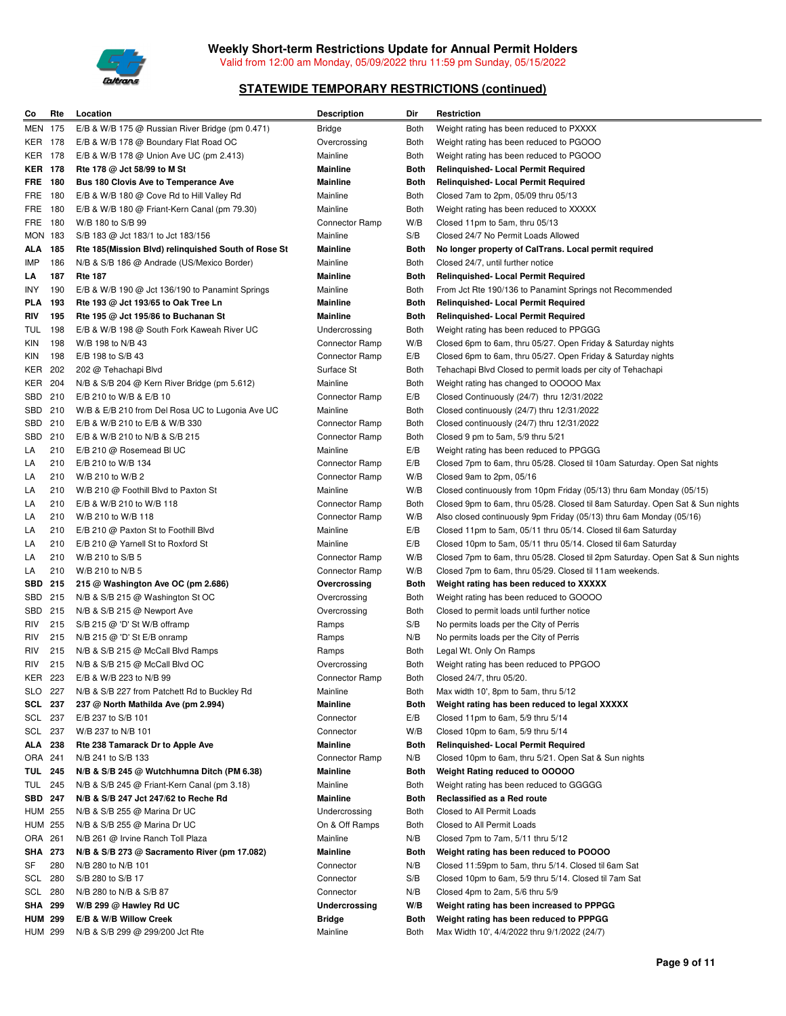

| Co             | Rte | Location                                            | <b>Description</b> | Dir         | Restriction                                                                   |
|----------------|-----|-----------------------------------------------------|--------------------|-------------|-------------------------------------------------------------------------------|
| <b>MEN 175</b> |     | E/B & W/B 175 @ Russian River Bridge (pm 0.471)     | <b>Bridge</b>      | <b>Both</b> | Weight rating has been reduced to PXXXX                                       |
| KER 178        |     | E/B & W/B 178 @ Boundary Flat Road OC               | Overcrossing       | <b>Both</b> | Weight rating has been reduced to PGOOO                                       |
| <b>KER 178</b> |     | E/B & W/B 178 @ Union Ave UC (pm 2.413)             | Mainline           | Both        | Weight rating has been reduced to PGOOO                                       |
| <b>KER 178</b> |     | Rte 178 @ Jct 58/99 to M St                         | <b>Mainline</b>    | Both        | <b>Relinquished-Local Permit Required</b>                                     |
| <b>FRE 180</b> |     | <b>Bus 180 Clovis Ave to Temperance Ave</b>         | <b>Mainline</b>    | Both        | <b>Relinquished-Local Permit Required</b>                                     |
| FRE 180        |     | E/B & W/B 180 @ Cove Rd to Hill Valley Rd           | Mainline           | <b>Both</b> | Closed 7am to 2pm, 05/09 thru 05/13                                           |
| FRE            | 180 | E/B & W/B 180 @ Friant-Kern Canal (pm 79.30)        | Mainline           | Both        | Weight rating has been reduced to XXXXX                                       |
| FRE 180        |     | W/B 180 to S/B 99                                   | Connector Ramp     | W/B         | Closed 11pm to 5am, thru 05/13                                                |
| <b>MON 183</b> |     | S/B 183 @ Jct 183/1 to Jct 183/156                  | Mainline           | S/B         | Closed 24/7 No Permit Loads Allowed                                           |
| ALA            | 185 | Rte 185(Mission Blvd) relinquished South of Rose St | <b>Mainline</b>    | Both        | No longer property of CalTrans. Local permit required                         |
| IMP            | 186 | N/B & S/B 186 @ Andrade (US/Mexico Border)          | Mainline           | <b>Both</b> | Closed 24/7, until further notice                                             |
| LA             | 187 | <b>Rte 187</b>                                      | <b>Mainline</b>    | Both        | <b>Relinquished-Local Permit Required</b>                                     |
| INY            | 190 | E/B & W/B 190 $@$ Jct 136/190 to Panamint Springs   | Mainline           | Both        | From Jct Rte 190/136 to Panamint Springs not Recommended                      |
| PLA            | 193 | Rte 193 $@$ Jct 193/65 to Oak Tree Ln               | Mainline           | Both        | Relinquished- Local Permit Required                                           |
| RIV            | 195 | Rte 195 $@$ Jct 195/86 to Buchanan St               | <b>Mainline</b>    | Both        | <b>Relinquished-Local Permit Required</b>                                     |
| TUL            | 198 | E/B & W/B 198 @ South Fork Kaweah River UC          | Undercrossing      | Both        | Weight rating has been reduced to PPGGG                                       |
| KIN            | 198 | W/B 198 to N/B 43                                   | Connector Ramp     | W/B         | Closed 6pm to 6am, thru 05/27. Open Friday & Saturday nights                  |
| <b>KIN</b>     | 198 | E/B 198 to S/B 43                                   | Connector Ramp     | E/B         | Closed 6pm to 6am, thru 05/27. Open Friday & Saturday nights                  |
| KER            | 202 | 202 @ Tehachapi Blvd                                | Surface St         | Both        | Tehachapi Blvd Closed to permit loads per city of Tehachapi                   |
| KER            | 204 | N/B & S/B 204 @ Kern River Bridge (pm 5.612)        | Mainline           | <b>Both</b> | Weight rating has changed to OOOOO Max                                        |
| SBD            | 210 | E/B 210 to W/B & E/B 10                             | Connector Ramp     | E/B         | Closed Continuously (24/7) thru 12/31/2022                                    |
| SBD            | 210 | W/B & E/B 210 from Del Rosa UC to Lugonia Ave UC    | Mainline           | Both        | Closed continuously (24/7) thru 12/31/2022                                    |
| SBD            | 210 | E/B & W/B 210 to E/B & W/B 330                      | Connector Ramp     | Both        | Closed continuously (24/7) thru 12/31/2022                                    |
| SBD            | 210 | E/B & W/B 210 to N/B & S/B 215                      | Connector Ramp     | Both        | Closed 9 pm to 5am, 5/9 thru 5/21                                             |
| LA             | 210 | E/B 210 @ Rosemead BI UC                            | Mainline           | E/B         | Weight rating has been reduced to PPGGG                                       |
| LA             | 210 | E/B 210 to W/B 134                                  | Connector Ramp     | E/B         | Closed 7pm to 6am, thru 05/28. Closed til 10am Saturday. Open Sat nights      |
| LA             | 210 | W/B 210 to W/B 2                                    | Connector Ramp     | W/B         | Closed 9am to 2pm, 05/16                                                      |
| LA             | 210 | W/B 210 @ Foothill Blvd to Paxton St                | Mainline           | W/B         | Closed continuously from 10pm Friday (05/13) thru 6am Monday (05/15)          |
| LA             | 210 | E/B & W/B 210 to W/B 118                            | Connector Ramp     | Both        | Closed 9pm to 6am, thru 05/28. Closed til 8am Saturday. Open Sat & Sun nights |
| LA             | 210 | W/B 210 to W/B 118                                  | Connector Ramp     | W/B         | Also closed continuously 9pm Friday (05/13) thru 6am Monday (05/16)           |
| LA             | 210 | E/B 210 @ Paxton St to Foothill Blvd                | Mainline           | E/B         | Closed 11pm to 5am, 05/11 thru 05/14. Closed til 6am Saturday                 |
| LA             | 210 | E/B 210 @ Yarnell St to Roxford St                  | Mainline           | E/B         | Closed 10pm to 5am, 05/11 thru 05/14. Closed til 6am Saturday                 |
| LA             | 210 | W/B 210 to S/B 5                                    | Connector Ramp     | W/B         | Closed 7pm to 6am, thru 05/28. Closed til 2pm Saturday. Open Sat & Sun nights |
| LA             | 210 | W/B 210 to N/B 5                                    | Connector Ramp     | W/B         | Closed 7pm to 6am, thru 05/29. Closed til 11am weekends.                      |
| <b>SBD</b>     | 215 | 215 @ Washington Ave OC (pm 2.686)                  | Overcrossing       | Both        | Weight rating has been reduced to XXXXX                                       |
| SBD            | 215 | N/B & S/B 215 @ Washington St OC                    | Overcrossing       | Both        | Weight rating has been reduced to GOOOO                                       |
| SBD            | 215 | N/B & S/B 215 @ Newport Ave                         | Overcrossing       | Both        | Closed to permit loads until further notice                                   |
| <b>RIV</b>     | 215 | S/B 215 @ 'D' St W/B offramp                        | Ramps              | S/B         | No permits loads per the City of Perris                                       |
| <b>RIV</b>     | 215 | N/B 215 @ 'D' St E/B onramp                         | Ramps              | N/B         | No permits loads per the City of Perris                                       |
| RIV            | 215 | N/B & S/B 215 @ McCall Blvd Ramps                   | Ramps              | Both        | Legal Wt. Only On Ramps                                                       |
| <b>RIV</b>     | 215 | N/B & S/B 215 @ McCall Blvd OC                      | Overcrossing       | Both        | Weight rating has been reduced to PPGOO                                       |
| <b>KER 223</b> |     | E/B & W/B 223 to N/B 99                             | Connector Ramp     | Both        | Closed 24/7, thru 05/20.                                                      |
| SLO 227        |     | N/B & S/B 227 from Patchett Rd to Buckley Rd        | Mainline           | Both        | Max width 10', 8pm to 5am, thru 5/12                                          |
| SCL            | 237 | 237 @ North Mathilda Ave (pm 2.994)                 | <b>Mainline</b>    | Both        | Weight rating has been reduced to legal XXXXX                                 |
| SCL            | 237 | E/B 237 to S/B 101                                  | Connector          | E/B         | Closed 11pm to 6am, 5/9 thru 5/14                                             |
| SCL            | 237 | W/B 237 to N/B 101                                  | Connector          | W/B         | Closed 10pm to 6am, 5/9 thru 5/14                                             |
| ALA            | 238 | Rte 238 Tamarack Dr to Apple Ave                    | <b>Mainline</b>    | Both        | Relinquished- Local Permit Required                                           |
| ORA 241        |     | N/B 241 to S/B 133                                  | Connector Ramp     | N/B         | Closed 10pm to 6am, thru 5/21. Open Sat & Sun nights                          |
| TUL            | 245 | $N/B$ & S/B 245 @ Wutchhumna Ditch (PM 6.38)        | Mainline           | Both        | Weight Rating reduced to OOOOO                                                |
| TUL            | 245 | N/B & S/B 245 @ Friant-Kern Canal (pm 3.18)         | Mainline           | Both        | Weight rating has been reduced to GGGGG                                       |
| <b>SBD 247</b> |     | N/B & S/B 247 Jct 247/62 to Reche Rd                | <b>Mainline</b>    | Both        | Reclassified as a Red route                                                   |
| HUM 255        |     | N/B & S/B 255 @ Marina Dr UC                        | Undercrossing      | Both        | Closed to All Permit Loads                                                    |
| <b>HUM 255</b> |     | N/B & S/B 255 @ Marina Dr UC                        | On & Off Ramps     | <b>Both</b> | Closed to All Permit Loads                                                    |
| ORA 261        |     | N/B 261 @ Irvine Ranch Toll Plaza                   | Mainline           | N/B         | Closed 7pm to 7am, 5/11 thru 5/12                                             |
| SHA 273        |     | $N/B$ & S/B 273 @ Sacramento River (pm 17.082)      | <b>Mainline</b>    | Both        | Weight rating has been reduced to POOOO                                       |
| SF             | 280 | N/B 280 to N/B 101                                  | Connector          | N/B         | Closed 11:59pm to 5am, thru 5/14. Closed til 6am Sat                          |
| SCL            | 280 | S/B 280 to S/B 17                                   | Connector          | S/B         | Closed 10pm to 6am, 5/9 thru 5/14. Closed til 7am Sat                         |
| SCL 280        |     | N/B 280 to N/B & S/B 87                             | Connector          | N/B         | Closed 4pm to 2am, 5/6 thru 5/9                                               |
| <b>SHA 299</b> |     | $W/B$ 299 $@$ Hawley Rd UC                          | Undercrossing      | W/B         | Weight rating has been increased to PPPGG                                     |
| <b>HUM 299</b> |     | E/B & W/B Willow Creek                              | Bridge             | Both        | Weight rating has been reduced to PPPGG                                       |
| <b>HUM 299</b> |     | N/B & S/B 299 @ 299/200 Jct Rte                     | Mainline           | Both        | Max Width 10', 4/4/2022 thru 9/1/2022 (24/7)                                  |
|                |     |                                                     |                    |             |                                                                               |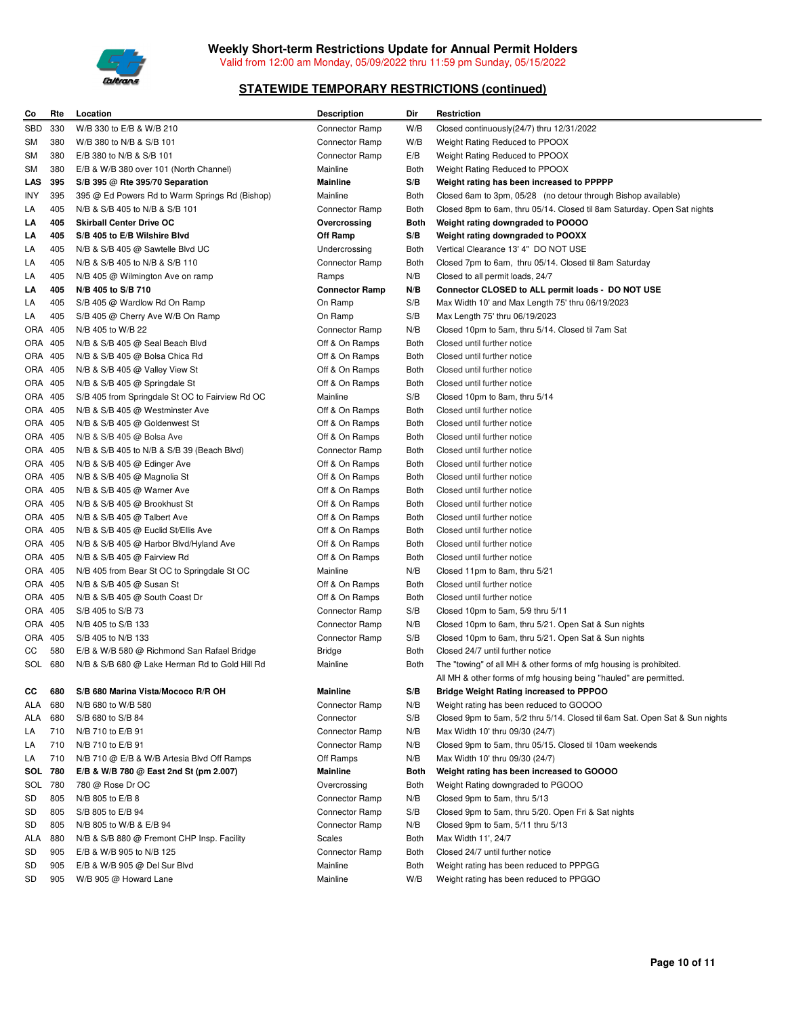

| Co      | Rte | Location                                        | <b>Description</b>    | Dir         | Restriction                                                                 |
|---------|-----|-------------------------------------------------|-----------------------|-------------|-----------------------------------------------------------------------------|
| SBD     | 330 | W/B 330 to E/B & W/B 210                        | Connector Ramp        | W/B         | Closed continuously(24/7) thru 12/31/2022                                   |
| SM      | 380 | W/B 380 to N/B & S/B 101                        | Connector Ramp        | W/B         | Weight Rating Reduced to PPOOX                                              |
| SM      | 380 | E/B 380 to N/B & S/B 101                        | Connector Ramp        | E/B         | Weight Rating Reduced to PPOOX                                              |
| SM      | 380 | E/B & W/B 380 over 101 (North Channel)          | Mainline              | <b>Both</b> | Weight Rating Reduced to PPOOX                                              |
| LAS     | 395 | S/B 395 @ Rte 395/70 Separation                 | <b>Mainline</b>       | S/B         | Weight rating has been increased to PPPPP                                   |
| INY     | 395 | 395 @ Ed Powers Rd to Warm Springs Rd (Bishop)  | Mainline              | Both        | Closed 6am to 3pm, 05/28 (no detour through Bishop available)               |
| LA      | 405 | N/B & S/B 405 to N/B & S/B 101                  | Connector Ramp        | Both        | Closed 8pm to 6am, thru 05/14. Closed til 8am Saturday. Open Sat nights     |
| LA      | 405 | <b>Skirball Center Drive OC</b>                 | Overcrossing          | Both        | Weight rating downgraded to POOOO                                           |
| LA      | 405 | S/B 405 to E/B Wilshire Blvd                    | Off Ramp              | S/B         | Weight rating downgraded to POOXX                                           |
| LA      | 405 | N/B & S/B 405 @ Sawtelle Blvd UC                | Undercrossing         | Both        | Vertical Clearance 13' 4" DO NOT USE                                        |
| LA      | 405 | N/B & S/B 405 to N/B & S/B 110                  | Connector Ramp        | Both        | Closed 7pm to 6am, thru 05/14. Closed til 8am Saturday                      |
| LA      | 405 | N/B 405 @ Wilmington Ave on ramp                | Ramps                 | N/B         | Closed to all permit loads, 24/7                                            |
| LA      | 405 | N/B 405 to S/B 710                              | <b>Connector Ramp</b> | N/B         | Connector CLOSED to ALL permit loads - DO NOT USE                           |
| LA      | 405 | S/B 405 @ Wardlow Rd On Ramp                    | On Ramp               | S/B         | Max Width 10' and Max Length 75' thru 06/19/2023                            |
| LA      | 405 | S/B 405 @ Cherry Ave W/B On Ramp                | On Ramp               | S/B         | Max Length 75' thru 06/19/2023                                              |
| ORA     | 405 | N/B 405 to W/B 22                               | <b>Connector Ramp</b> | N/B         | Closed 10pm to 5am, thru 5/14. Closed til 7am Sat                           |
| ORA 405 |     | N/B & S/B 405 @ Seal Beach Blvd                 | Off & On Ramps        | <b>Both</b> | Closed until further notice                                                 |
| ORA 405 |     | N/B & S/B 405 @ Bolsa Chica Rd                  | Off & On Ramps        | Both        | Closed until further notice                                                 |
| ORA 405 |     | $N/B$ & S/B 405 $@$ Valley View St              | Off & On Ramps        | Both        | Closed until further notice                                                 |
| ORA 405 |     | N/B & S/B 405 @ Springdale St                   | Off & On Ramps        | Both        | Closed until further notice                                                 |
| ORA 405 |     | S/B 405 from Springdale St OC to Fairview Rd OC | Mainline              | S/B         | Closed 10pm to 8am, thru 5/14                                               |
| ORA 405 |     | N/B & S/B 405 @ Westminster Ave                 | Off & On Ramps        | Both        | Closed until further notice                                                 |
| ORA 405 |     | N/B & S/B 405 @ Goldenwest St                   | Off & On Ramps        | Both        | Closed until further notice                                                 |
| ORA 405 |     | N/B & S/B 405 @ Bolsa Ave                       | Off & On Ramps        | Both        | Closed until further notice                                                 |
| ORA 405 |     | N/B & S/B 405 to N/B & S/B 39 (Beach Blvd)      | Connector Ramp        | Both        | Closed until further notice                                                 |
| ORA 405 |     | N/B & S/B 405 @ Edinger Ave                     | Off & On Ramps        | Both        | Closed until further notice                                                 |
| ORA 405 |     | N/B & S/B 405 @ Magnolia St                     | Off & On Ramps        | Both        | Closed until further notice                                                 |
| ORA 405 |     | N/B & S/B 405 @ Warner Ave                      | Off & On Ramps        | Both        | Closed until further notice                                                 |
| ORA 405 |     | N/B & S/B 405 @ Brookhust St                    | Off & On Ramps        | <b>Both</b> | Closed until further notice                                                 |
| ORA 405 |     | N/B & S/B 405 @ Talbert Ave                     | Off & On Ramps        | Both        | Closed until further notice                                                 |
| ORA 405 |     | N/B & S/B 405 @ Euclid St/Ellis Ave             | Off & On Ramps        | Both        | Closed until further notice                                                 |
| ORA 405 |     | N/B & S/B 405 @ Harbor Blvd/Hyland Ave          | Off & On Ramps        | Both        | Closed until further notice                                                 |
| ORA 405 |     | N/B & S/B 405 @ Fairview Rd                     | Off & On Ramps        | Both        | Closed until further notice                                                 |
| ORA 405 |     | N/B 405 from Bear St OC to Springdale St OC     | Mainline              | N/B         | Closed 11pm to 8am, thru 5/21                                               |
| ORA 405 |     | N/B & S/B 405 @ Susan St                        | Off & On Ramps        | Both        | Closed until further notice                                                 |
| ORA 405 |     | N/B & S/B 405 @ South Coast Dr                  | Off & On Ramps        | Both        | Closed until further notice                                                 |
| ORA 405 |     | S/B 405 to S/B 73                               | Connector Ramp        | S/B         | Closed 10pm to 5am, 5/9 thru 5/11                                           |
| ORA 405 |     | N/B 405 to S/B 133                              | Connector Ramp        | N/B         | Closed 10pm to 6am, thru 5/21. Open Sat & Sun nights                        |
| ORA 405 |     | S/B 405 to N/B 133                              | Connector Ramp        | S/B         | Closed 10pm to 6am, thru 5/21. Open Sat & Sun nights                        |
| CС      | 580 | E/B & W/B 580 @ Richmond San Rafael Bridge      | <b>Bridge</b>         | Both        | Closed 24/7 until further notice                                            |
| SOL 680 |     | N/B & S/B 680 @ Lake Herman Rd to Gold Hill Rd  | Mainline              | Both        | The "towing" of all MH & other forms of mfg housing is prohibited.          |
|         |     |                                                 |                       |             | All MH & other forms of mfg housing being "hauled" are permitted.           |
| CС      | 680 | S/B 680 Marina Vista/Mococo R/R OH              | <b>Mainline</b>       | S/B         | <b>Bridge Weight Rating increased to PPPOO</b>                              |
| ALA     | 680 | N/B 680 to W/B 580                              | Connector Ramp        | N/B         | Weight rating has been reduced to GOOOO                                     |
| ALA     | 680 | S/B 680 to S/B 84                               | Connector             | S/B         | Closed 9pm to 5am, 5/2 thru 5/14. Closed til 6am Sat. Open Sat & Sun nights |
| LA      | 710 | N/B 710 to E/B 91                               | Connector Ramp        | N/B         | Max Width 10' thru 09/30 (24/7)                                             |
| LA      | 710 | N/B 710 to E/B 91                               | Connector Ramp        | N/B         | Closed 9pm to 5am, thru 05/15. Closed til 10am weekends                     |
| LA      | 710 | N/B 710 @ E/B & W/B Artesia Blvd Off Ramps      | Off Ramps             | N/B         | Max Width 10' thru 09/30 (24/7)                                             |
| SOL     | 780 | E/B & W/B 780 @ East 2nd St (pm 2.007)          | <b>Mainline</b>       | Both        | Weight rating has been increased to GOOOO                                   |
| SOL     | 780 | 780 @ Rose Dr OC                                | Overcrossing          | Both        | Weight Rating downgraded to PGOOO                                           |
| SD      | 805 | N/B 805 to E/B 8                                | Connector Ramp        | N/B         | Closed 9pm to 5am, thru 5/13                                                |
| SD      | 805 | S/B 805 to E/B 94                               | Connector Ramp        | S/B         | Closed 9pm to 5am, thru 5/20. Open Fri & Sat nights                         |
| SD      | 805 | N/B 805 to W/B & E/B 94                         | Connector Ramp        | N/B         | Closed 9pm to 5am, 5/11 thru 5/13                                           |
| ALA     | 880 | N/B & S/B 880 @ Fremont CHP Insp. Facility      | Scales                | <b>Both</b> | Max Width 11', 24/7                                                         |
| SD      | 905 | E/B & W/B 905 to N/B 125                        | Connector Ramp        | Both        | Closed 24/7 until further notice                                            |
| SD      | 905 | E/B & W/B 905 @ Del Sur Blvd                    | Mainline              | Both        | Weight rating has been reduced to PPPGG                                     |
| SD      | 905 | W/B 905 @ Howard Lane                           | Mainline              | W/B         | Weight rating has been reduced to PPGGO                                     |